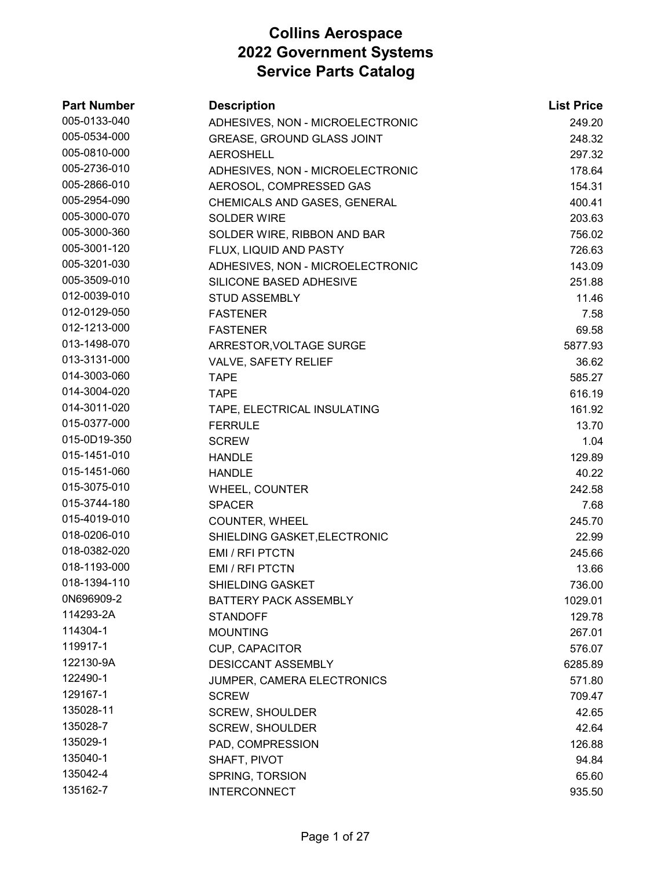| <b>Part Number</b> | <b>Description</b>               | <b>List Price</b> |
|--------------------|----------------------------------|-------------------|
| 005-0133-040       | ADHESIVES, NON - MICROELECTRONIC | 249.20            |
| 005-0534-000       | GREASE, GROUND GLASS JOINT       | 248.32            |
| 005-0810-000       | <b>AEROSHELL</b>                 | 297.32            |
| 005-2736-010       | ADHESIVES, NON - MICROELECTRONIC | 178.64            |
| 005-2866-010       | AEROSOL, COMPRESSED GAS          | 154.31            |
| 005-2954-090       | CHEMICALS AND GASES, GENERAL     | 400.41            |
| 005-3000-070       | <b>SOLDER WIRE</b>               | 203.63            |
| 005-3000-360       | SOLDER WIRE, RIBBON AND BAR      | 756.02            |
| 005-3001-120       | FLUX, LIQUID AND PASTY           | 726.63            |
| 005-3201-030       | ADHESIVES, NON - MICROELECTRONIC | 143.09            |
| 005-3509-010       | SILICONE BASED ADHESIVE          | 251.88            |
| 012-0039-010       | <b>STUD ASSEMBLY</b>             | 11.46             |
| 012-0129-050       | <b>FASTENER</b>                  | 7.58              |
| 012-1213-000       | <b>FASTENER</b>                  | 69.58             |
| 013-1498-070       | ARRESTOR, VOLTAGE SURGE          | 5877.93           |
| 013-3131-000       | VALVE, SAFETY RELIEF             | 36.62             |
| 014-3003-060       | <b>TAPE</b>                      | 585.27            |
| 014-3004-020       | <b>TAPE</b>                      | 616.19            |
| 014-3011-020       | TAPE, ELECTRICAL INSULATING      | 161.92            |
| 015-0377-000       | <b>FERRULE</b>                   | 13.70             |
| 015-0D19-350       | <b>SCREW</b>                     | 1.04              |
| 015-1451-010       | <b>HANDLE</b>                    | 129.89            |
| 015-1451-060       | <b>HANDLE</b>                    | 40.22             |
| 015-3075-010       | WHEEL, COUNTER                   | 242.58            |
| 015-3744-180       | <b>SPACER</b>                    | 7.68              |
| 015-4019-010       | COUNTER, WHEEL                   | 245.70            |
| 018-0206-010       | SHIELDING GASKET, ELECTRONIC     | 22.99             |
| 018-0382-020       | EMI / RFI PTCTN                  | 245.66            |
| 018-1193-000       | <b>EMI / RFI PTCTN</b>           | 13.66             |
| 018-1394-110       | <b>SHIELDING GASKET</b>          | 736.00            |
| 0N696909-2         | BATTERY PACK ASSEMBLY            | 1029.01           |
| 114293-2A          | <b>STANDOFF</b>                  | 129.78            |
| 114304-1           | <b>MOUNTING</b>                  | 267.01            |
| 119917-1           | <b>CUP, CAPACITOR</b>            | 576.07            |
| 122130-9A          | DESICCANT ASSEMBLY               | 6285.89           |
| 122490-1           | JUMPER, CAMERA ELECTRONICS       | 571.80            |
| 129167-1           | <b>SCREW</b>                     | 709.47            |
| 135028-11          | <b>SCREW, SHOULDER</b>           | 42.65             |
| 135028-7           | <b>SCREW, SHOULDER</b>           | 42.64             |
| 135029-1           | PAD, COMPRESSION                 | 126.88            |
| 135040-1           | SHAFT, PIVOT                     | 94.84             |
| 135042-4           | SPRING, TORSION                  | 65.60             |
| 135162-7           | <b>INTERCONNECT</b>              | 935.50            |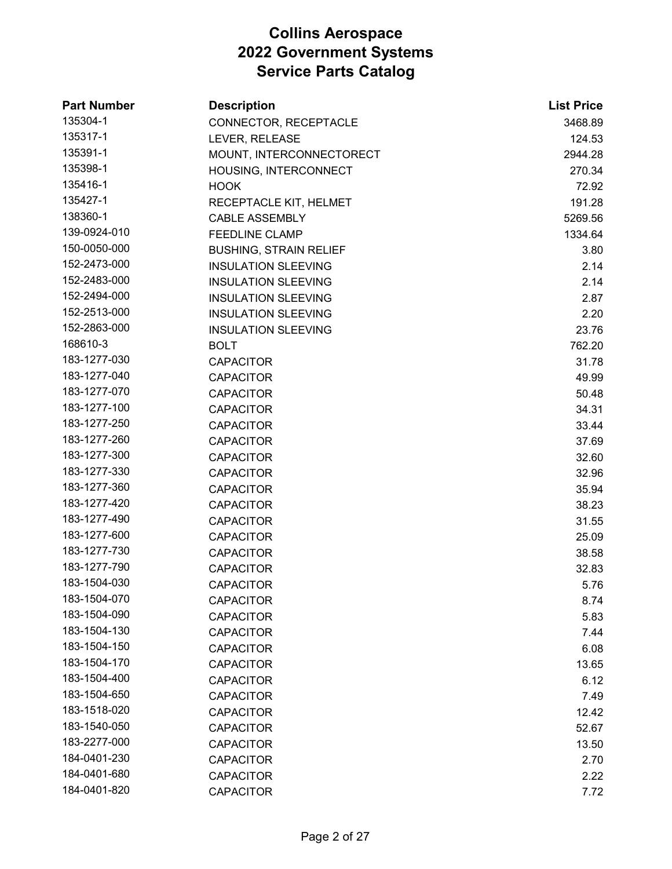| <b>Part Number</b> | <b>Description</b>            | <b>List Price</b> |
|--------------------|-------------------------------|-------------------|
| 135304-1           | CONNECTOR, RECEPTACLE         | 3468.89           |
| 135317-1           | LEVER, RELEASE                | 124.53            |
| 135391-1           | MOUNT, INTERCONNECTORECT      | 2944.28           |
| 135398-1           | HOUSING, INTERCONNECT         | 270.34            |
| 135416-1           | <b>HOOK</b>                   | 72.92             |
| 135427-1           | RECEPTACLE KIT, HELMET        | 191.28            |
| 138360-1           | <b>CABLE ASSEMBLY</b>         | 5269.56           |
| 139-0924-010       | <b>FEEDLINE CLAMP</b>         | 1334.64           |
| 150-0050-000       | <b>BUSHING, STRAIN RELIEF</b> | 3.80              |
| 152-2473-000       | <b>INSULATION SLEEVING</b>    | 2.14              |
| 152-2483-000       | <b>INSULATION SLEEVING</b>    | 2.14              |
| 152-2494-000       | <b>INSULATION SLEEVING</b>    | 2.87              |
| 152-2513-000       | <b>INSULATION SLEEVING</b>    | 2.20              |
| 152-2863-000       | <b>INSULATION SLEEVING</b>    | 23.76             |
| 168610-3           | <b>BOLT</b>                   | 762.20            |
| 183-1277-030       | <b>CAPACITOR</b>              | 31.78             |
| 183-1277-040       | <b>CAPACITOR</b>              | 49.99             |
| 183-1277-070       | <b>CAPACITOR</b>              | 50.48             |
| 183-1277-100       | <b>CAPACITOR</b>              | 34.31             |
| 183-1277-250       | <b>CAPACITOR</b>              | 33.44             |
| 183-1277-260       | <b>CAPACITOR</b>              | 37.69             |
| 183-1277-300       | <b>CAPACITOR</b>              | 32.60             |
| 183-1277-330       | <b>CAPACITOR</b>              | 32.96             |
| 183-1277-360       | <b>CAPACITOR</b>              | 35.94             |
| 183-1277-420       | <b>CAPACITOR</b>              | 38.23             |
| 183-1277-490       | <b>CAPACITOR</b>              | 31.55             |
| 183-1277-600       | <b>CAPACITOR</b>              | 25.09             |
| 183-1277-730       | <b>CAPACITOR</b>              | 38.58             |
| 183-1277-790       | <b>CAPACITOR</b>              | 32.83             |
| 183-1504-030       | <b>CAPACITOR</b>              | 5.76              |
| 183-1504-070       | <b>CAPACITOR</b>              | 8.74              |
| 183-1504-090       | <b>CAPACITOR</b>              | 5.83              |
| 183-1504-130       | <b>CAPACITOR</b>              | 7.44              |
| 183-1504-150       | <b>CAPACITOR</b>              | 6.08              |
| 183-1504-170       | <b>CAPACITOR</b>              | 13.65             |
| 183-1504-400       | <b>CAPACITOR</b>              | 6.12              |
| 183-1504-650       | <b>CAPACITOR</b>              | 7.49              |
| 183-1518-020       | <b>CAPACITOR</b>              | 12.42             |
| 183-1540-050       | <b>CAPACITOR</b>              | 52.67             |
| 183-2277-000       | <b>CAPACITOR</b>              | 13.50             |
| 184-0401-230       | <b>CAPACITOR</b>              | 2.70              |
| 184-0401-680       | <b>CAPACITOR</b>              | 2.22              |
| 184-0401-820       | <b>CAPACITOR</b>              | 7.72              |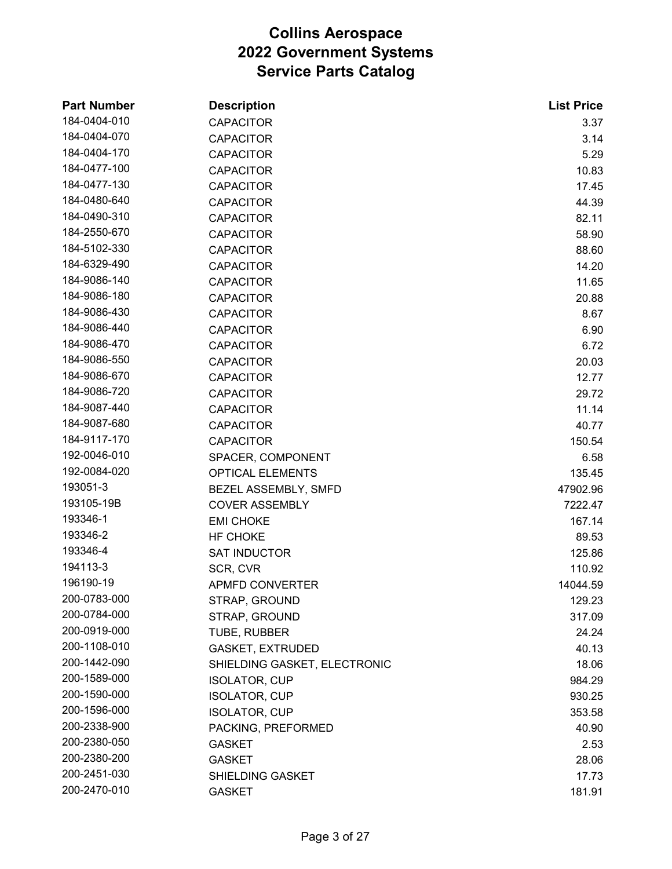| <b>Part Number</b> | <b>Description</b>           | <b>List Price</b> |
|--------------------|------------------------------|-------------------|
| 184-0404-010       | <b>CAPACITOR</b>             | 3.37              |
| 184-0404-070       | <b>CAPACITOR</b>             | 3.14              |
| 184-0404-170       | <b>CAPACITOR</b>             | 5.29              |
| 184-0477-100       | <b>CAPACITOR</b>             | 10.83             |
| 184-0477-130       | <b>CAPACITOR</b>             | 17.45             |
| 184-0480-640       | <b>CAPACITOR</b>             | 44.39             |
| 184-0490-310       | <b>CAPACITOR</b>             | 82.11             |
| 184-2550-670       | <b>CAPACITOR</b>             | 58.90             |
| 184-5102-330       | <b>CAPACITOR</b>             | 88.60             |
| 184-6329-490       | <b>CAPACITOR</b>             | 14.20             |
| 184-9086-140       | <b>CAPACITOR</b>             | 11.65             |
| 184-9086-180       | <b>CAPACITOR</b>             | 20.88             |
| 184-9086-430       | <b>CAPACITOR</b>             | 8.67              |
| 184-9086-440       | <b>CAPACITOR</b>             | 6.90              |
| 184-9086-470       | <b>CAPACITOR</b>             | 6.72              |
| 184-9086-550       | <b>CAPACITOR</b>             | 20.03             |
| 184-9086-670       | <b>CAPACITOR</b>             | 12.77             |
| 184-9086-720       | <b>CAPACITOR</b>             | 29.72             |
| 184-9087-440       | <b>CAPACITOR</b>             | 11.14             |
| 184-9087-680       | <b>CAPACITOR</b>             | 40.77             |
| 184-9117-170       | <b>CAPACITOR</b>             | 150.54            |
| 192-0046-010       | SPACER, COMPONENT            | 6.58              |
| 192-0084-020       | <b>OPTICAL ELEMENTS</b>      | 135.45            |
| 193051-3           | BEZEL ASSEMBLY, SMFD         | 47902.96          |
| 193105-19B         | <b>COVER ASSEMBLY</b>        | 7222.47           |
| 193346-1           | <b>EMI CHOKE</b>             | 167.14            |
| 193346-2           | HF CHOKE                     | 89.53             |
| 193346-4           | <b>SAT INDUCTOR</b>          | 125.86            |
| 194113-3           | SCR, CVR                     | 110.92            |
| 196190-19          | <b>APMFD CONVERTER</b>       | 14044.59          |
| 200-0783-000       | STRAP, GROUND                | 129.23            |
| 200-0784-000       | STRAP, GROUND                | 317.09            |
| 200-0919-000       | TUBE, RUBBER                 | 24.24             |
| 200-1108-010       | <b>GASKET, EXTRUDED</b>      | 40.13             |
| 200-1442-090       | SHIELDING GASKET, ELECTRONIC | 18.06             |
| 200-1589-000       | <b>ISOLATOR, CUP</b>         | 984.29            |
| 200-1590-000       | <b>ISOLATOR, CUP</b>         | 930.25            |
| 200-1596-000       | <b>ISOLATOR, CUP</b>         | 353.58            |
| 200-2338-900       | PACKING, PREFORMED           | 40.90             |
| 200-2380-050       | <b>GASKET</b>                | 2.53              |
| 200-2380-200       | <b>GASKET</b>                | 28.06             |
| 200-2451-030       | SHIELDING GASKET             | 17.73             |
| 200-2470-010       | <b>GASKET</b>                | 181.91            |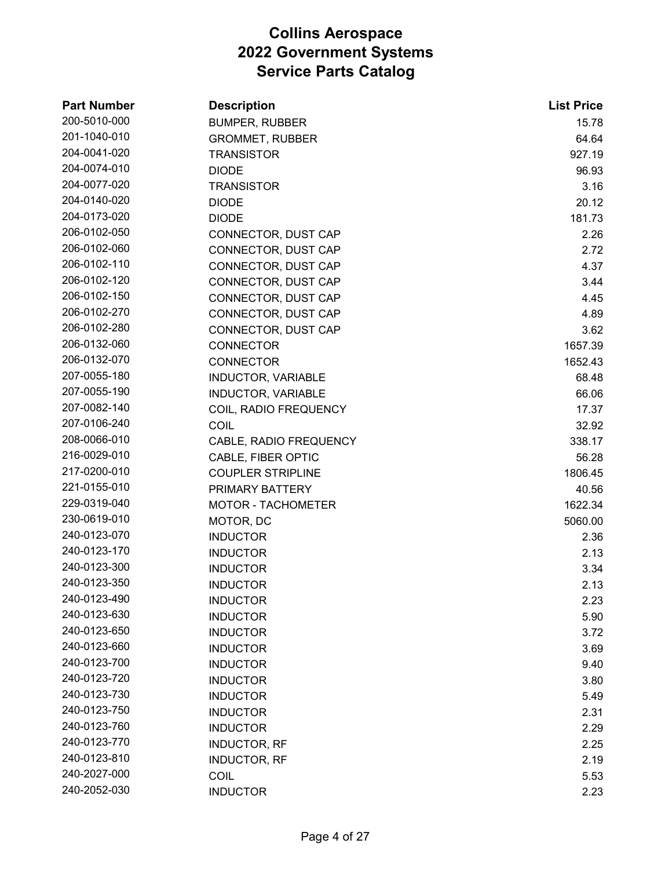| <b>Part Number</b> | <b>Description</b>        | <b>List Price</b> |
|--------------------|---------------------------|-------------------|
| 200-5010-000       | <b>BUMPER, RUBBER</b>     | 15.78             |
| 201-1040-010       | <b>GROMMET, RUBBER</b>    | 64.64             |
| 204-0041-020       | <b>TRANSISTOR</b>         | 927.19            |
| 204-0074-010       | <b>DIODE</b>              | 96.93             |
| 204-0077-020       | <b>TRANSISTOR</b>         | 3.16              |
| 204-0140-020       | <b>DIODE</b>              | 20.12             |
| 204-0173-020       | <b>DIODE</b>              | 181.73            |
| 206-0102-050       | CONNECTOR, DUST CAP       | 2.26              |
| 206-0102-060       | CONNECTOR, DUST CAP       | 2.72              |
| 206-0102-110       | CONNECTOR, DUST CAP       | 4.37              |
| 206-0102-120       | CONNECTOR, DUST CAP       | 3.44              |
| 206-0102-150       | CONNECTOR, DUST CAP       | 4.45              |
| 206-0102-270       | CONNECTOR, DUST CAP       | 4.89              |
| 206-0102-280       | CONNECTOR, DUST CAP       | 3.62              |
| 206-0132-060       | <b>CONNECTOR</b>          | 1657.39           |
| 206-0132-070       | <b>CONNECTOR</b>          | 1652.43           |
| 207-0055-180       | <b>INDUCTOR, VARIABLE</b> | 68.48             |
| 207-0055-190       | <b>INDUCTOR, VARIABLE</b> | 66.06             |
| 207-0082-140       | COIL, RADIO FREQUENCY     | 17.37             |
| 207-0106-240       | COIL                      | 32.92             |
| 208-0066-010       | CABLE, RADIO FREQUENCY    | 338.17            |
| 216-0029-010       | CABLE, FIBER OPTIC        | 56.28             |
| 217-0200-010       | <b>COUPLER STRIPLINE</b>  | 1806.45           |
| 221-0155-010       | PRIMARY BATTERY           | 40.56             |
| 229-0319-040       | MOTOR - TACHOMETER        | 1622.34           |
| 230-0619-010       | MOTOR, DC                 | 5060.00           |
| 240-0123-070       | <b>INDUCTOR</b>           | 2.36              |
| 240-0123-170       | <b>INDUCTOR</b>           | 2.13              |
| 240-0123-300       | <b>INDUCTOR</b>           | 3.34              |
| 240-0123-350       | <b>INDUCTOR</b>           | 2.13              |
| 240-0123-490       | <b>INDUCTOR</b>           | 2.23              |
| 240-0123-630       | <b>INDUCTOR</b>           | 5.90              |
| 240-0123-650       | <b>INDUCTOR</b>           | 3.72              |
| 240-0123-660       | <b>INDUCTOR</b>           | 3.69              |
| 240-0123-700       | <b>INDUCTOR</b>           | 9.40              |
| 240-0123-720       | <b>INDUCTOR</b>           | 3.80              |
| 240-0123-730       | <b>INDUCTOR</b>           | 5.49              |
| 240-0123-750       | <b>INDUCTOR</b>           | 2.31              |
| 240-0123-760       | <b>INDUCTOR</b>           | 2.29              |
| 240-0123-770       | <b>INDUCTOR, RF</b>       | 2.25              |
| 240-0123-810       | <b>INDUCTOR, RF</b>       | 2.19              |
| 240-2027-000       | COIL                      | 5.53              |
| 240-2052-030       | <b>INDUCTOR</b>           | 2.23              |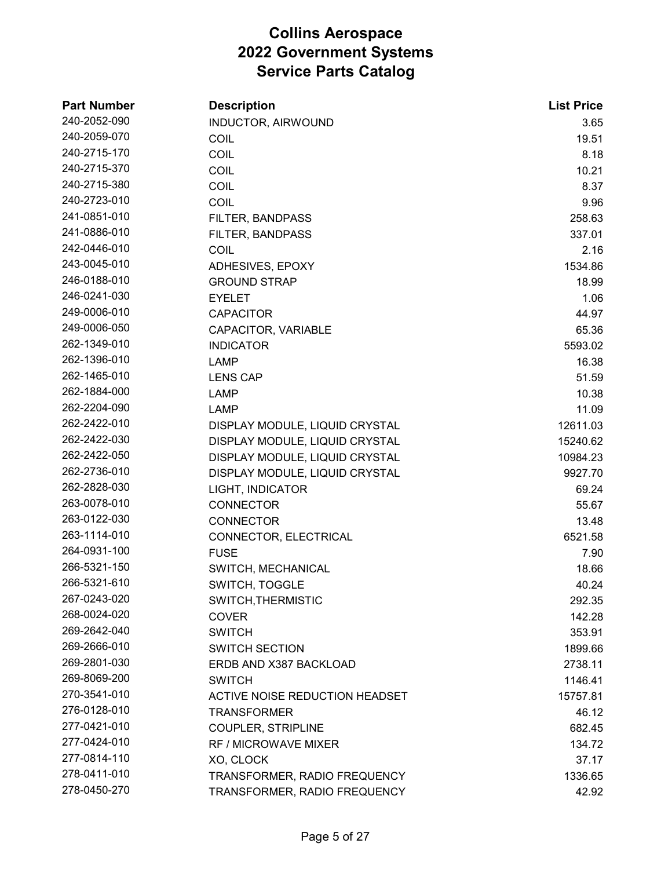| <b>Part Number</b> | <b>Description</b>             | <b>List Price</b> |
|--------------------|--------------------------------|-------------------|
| 240-2052-090       | <b>INDUCTOR, AIRWOUND</b>      | 3.65              |
| 240-2059-070       | COIL                           | 19.51             |
| 240-2715-170       | COIL                           | 8.18              |
| 240-2715-370       | COIL                           | 10.21             |
| 240-2715-380       | COIL                           | 8.37              |
| 240-2723-010       | COIL                           | 9.96              |
| 241-0851-010       | FILTER, BANDPASS               | 258.63            |
| 241-0886-010       | FILTER, BANDPASS               | 337.01            |
| 242-0446-010       | <b>COIL</b>                    | 2.16              |
| 243-0045-010       | ADHESIVES, EPOXY               | 1534.86           |
| 246-0188-010       | <b>GROUND STRAP</b>            | 18.99             |
| 246-0241-030       | <b>EYELET</b>                  | 1.06              |
| 249-0006-010       | <b>CAPACITOR</b>               | 44.97             |
| 249-0006-050       | CAPACITOR, VARIABLE            | 65.36             |
| 262-1349-010       | <b>INDICATOR</b>               | 5593.02           |
| 262-1396-010       | <b>LAMP</b>                    | 16.38             |
| 262-1465-010       | <b>LENS CAP</b>                | 51.59             |
| 262-1884-000       | <b>LAMP</b>                    | 10.38             |
| 262-2204-090       | LAMP                           | 11.09             |
| 262-2422-010       | DISPLAY MODULE, LIQUID CRYSTAL | 12611.03          |
| 262-2422-030       | DISPLAY MODULE, LIQUID CRYSTAL | 15240.62          |
| 262-2422-050       | DISPLAY MODULE, LIQUID CRYSTAL | 10984.23          |
| 262-2736-010       | DISPLAY MODULE, LIQUID CRYSTAL | 9927.70           |
| 262-2828-030       | <b>LIGHT, INDICATOR</b>        | 69.24             |
| 263-0078-010       | <b>CONNECTOR</b>               | 55.67             |
| 263-0122-030       | <b>CONNECTOR</b>               | 13.48             |
| 263-1114-010       | CONNECTOR, ELECTRICAL          | 6521.58           |
| 264-0931-100       | <b>FUSE</b>                    | 7.90              |
| 266-5321-150       | SWITCH, MECHANICAL             | 18.66             |
| 266-5321-610       | SWITCH, TOGGLE                 | 40.24             |
| 267-0243-020       | SWITCH, THERMISTIC             | 292.35            |
| 268-0024-020       | COVER                          | 142.28            |
| 269-2642-040       | <b>SWITCH</b>                  | 353.91            |
| 269-2666-010       | <b>SWITCH SECTION</b>          | 1899.66           |
| 269-2801-030       | ERDB AND X387 BACKLOAD         | 2738.11           |
| 269-8069-200       | <b>SWITCH</b>                  | 1146.41           |
| 270-3541-010       | ACTIVE NOISE REDUCTION HEADSET | 15757.81          |
| 276-0128-010       | <b>TRANSFORMER</b>             | 46.12             |
| 277-0421-010       | COUPLER, STRIPLINE             | 682.45            |
| 277-0424-010       | <b>RF / MICROWAVE MIXER</b>    | 134.72            |
| 277-0814-110       | XO, CLOCK                      | 37.17             |
| 278-0411-010       | TRANSFORMER, RADIO FREQUENCY   | 1336.65           |
| 278-0450-270       | TRANSFORMER, RADIO FREQUENCY   | 42.92             |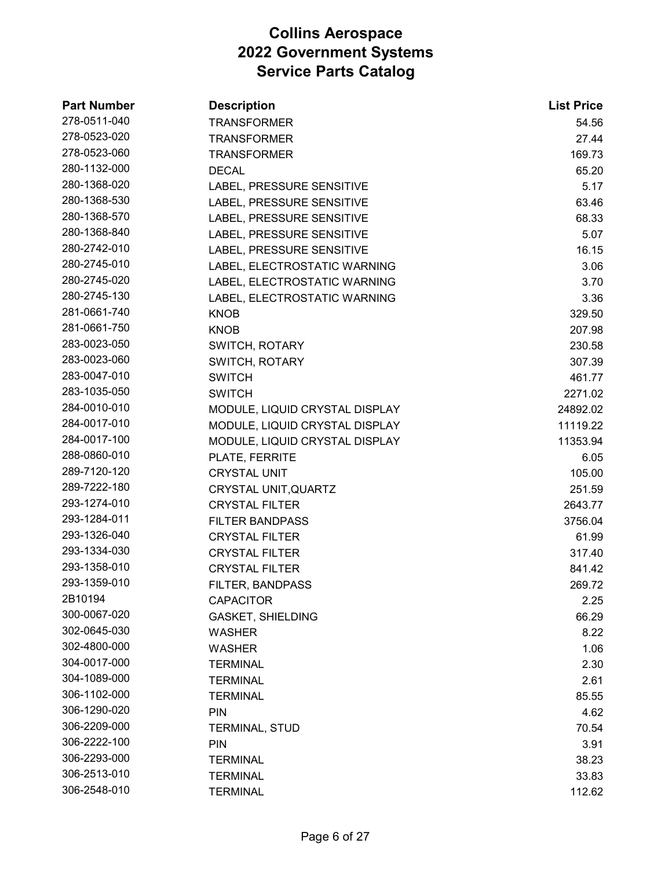| <b>Part Number</b> | <b>Description</b>             | <b>List Price</b> |
|--------------------|--------------------------------|-------------------|
| 278-0511-040       | <b>TRANSFORMER</b>             | 54.56             |
| 278-0523-020       | <b>TRANSFORMER</b>             | 27.44             |
| 278-0523-060       | <b>TRANSFORMER</b>             | 169.73            |
| 280-1132-000       | <b>DECAL</b>                   | 65.20             |
| 280-1368-020       | LABEL, PRESSURE SENSITIVE      | 5.17              |
| 280-1368-530       | LABEL, PRESSURE SENSITIVE      | 63.46             |
| 280-1368-570       | LABEL, PRESSURE SENSITIVE      | 68.33             |
| 280-1368-840       | LABEL, PRESSURE SENSITIVE      | 5.07              |
| 280-2742-010       | LABEL, PRESSURE SENSITIVE      | 16.15             |
| 280-2745-010       | LABEL, ELECTROSTATIC WARNING   | 3.06              |
| 280-2745-020       | LABEL, ELECTROSTATIC WARNING   | 3.70              |
| 280-2745-130       | LABEL, ELECTROSTATIC WARNING   | 3.36              |
| 281-0661-740       | <b>KNOB</b>                    | 329.50            |
| 281-0661-750       | <b>KNOB</b>                    | 207.98            |
| 283-0023-050       | <b>SWITCH, ROTARY</b>          | 230.58            |
| 283-0023-060       | SWITCH, ROTARY                 | 307.39            |
| 283-0047-010       | <b>SWITCH</b>                  | 461.77            |
| 283-1035-050       | <b>SWITCH</b>                  | 2271.02           |
| 284-0010-010       | MODULE, LIQUID CRYSTAL DISPLAY | 24892.02          |
| 284-0017-010       | MODULE, LIQUID CRYSTAL DISPLAY | 11119.22          |
| 284-0017-100       | MODULE, LIQUID CRYSTAL DISPLAY | 11353.94          |
| 288-0860-010       | PLATE, FERRITE                 | 6.05              |
| 289-7120-120       | <b>CRYSTAL UNIT</b>            | 105.00            |
| 289-7222-180       | CRYSTAL UNIT, QUARTZ           | 251.59            |
| 293-1274-010       | <b>CRYSTAL FILTER</b>          | 2643.77           |
| 293-1284-011       | <b>FILTER BANDPASS</b>         | 3756.04           |
| 293-1326-040       | <b>CRYSTAL FILTER</b>          | 61.99             |
| 293-1334-030       | <b>CRYSTAL FILTER</b>          | 317.40            |
| 293-1358-010       | <b>CRYSTAL FILTER</b>          | 841.42            |
| 293-1359-010       | <b>FILTER, BANDPASS</b>        | 269.72            |
| 2B10194            | <b>CAPACITOR</b>               | 2.25              |
| 300-0067-020       | <b>GASKET, SHIELDING</b>       | 66.29             |
| 302-0645-030       | <b>WASHER</b>                  | 8.22              |
| 302-4800-000       | <b>WASHER</b>                  | 1.06              |
| 304-0017-000       | <b>TERMINAL</b>                | 2.30              |
| 304-1089-000       | <b>TERMINAL</b>                | 2.61              |
| 306-1102-000       | <b>TERMINAL</b>                | 85.55             |
| 306-1290-020       | <b>PIN</b>                     | 4.62              |
| 306-2209-000       | <b>TERMINAL, STUD</b>          | 70.54             |
| 306-2222-100       | <b>PIN</b>                     | 3.91              |
| 306-2293-000       | <b>TERMINAL</b>                | 38.23             |
| 306-2513-010       | <b>TERMINAL</b>                | 33.83             |
| 306-2548-010       | <b>TERMINAL</b>                | 112.62            |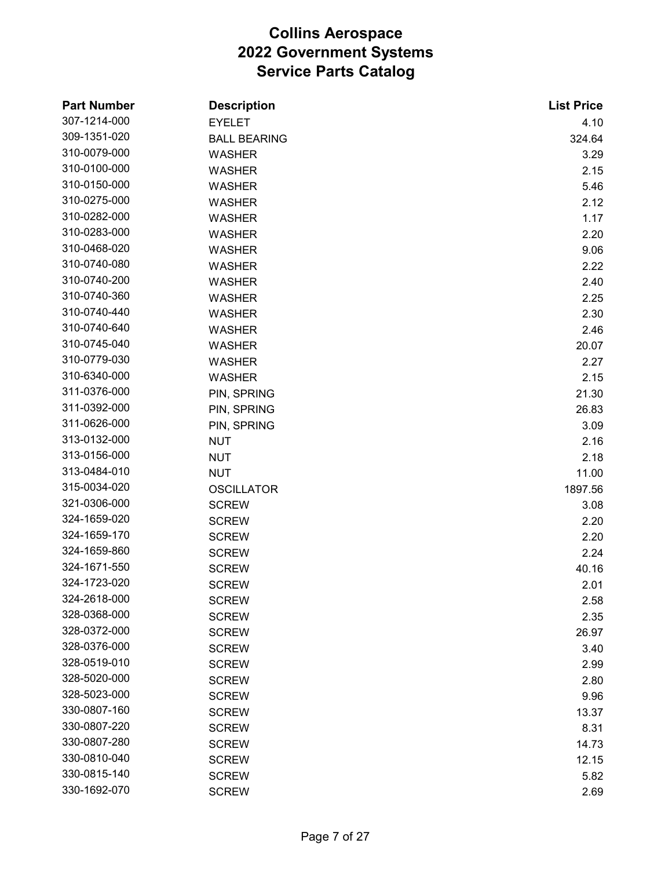| <b>Part Number</b> | <b>Description</b>  | <b>List Price</b> |
|--------------------|---------------------|-------------------|
| 307-1214-000       | <b>EYELET</b>       | 4.10              |
| 309-1351-020       | <b>BALL BEARING</b> | 324.64            |
| 310-0079-000       | <b>WASHER</b>       | 3.29              |
| 310-0100-000       | <b>WASHER</b>       | 2.15              |
| 310-0150-000       | <b>WASHER</b>       | 5.46              |
| 310-0275-000       | <b>WASHER</b>       | 2.12              |
| 310-0282-000       | <b>WASHER</b>       | 1.17              |
| 310-0283-000       | <b>WASHER</b>       | 2.20              |
| 310-0468-020       | <b>WASHER</b>       | 9.06              |
| 310-0740-080       | <b>WASHER</b>       | 2.22              |
| 310-0740-200       | <b>WASHER</b>       | 2.40              |
| 310-0740-360       | <b>WASHER</b>       | 2.25              |
| 310-0740-440       | <b>WASHER</b>       | 2.30              |
| 310-0740-640       | <b>WASHER</b>       | 2.46              |
| 310-0745-040       | <b>WASHER</b>       | 20.07             |
| 310-0779-030       | <b>WASHER</b>       | 2.27              |
| 310-6340-000       | <b>WASHER</b>       | 2.15              |
| 311-0376-000       | PIN, SPRING         | 21.30             |
| 311-0392-000       | PIN, SPRING         | 26.83             |
| 311-0626-000       | PIN, SPRING         | 3.09              |
| 313-0132-000       | <b>NUT</b>          | 2.16              |
| 313-0156-000       | <b>NUT</b>          | 2.18              |
| 313-0484-010       | <b>NUT</b>          | 11.00             |
| 315-0034-020       | <b>OSCILLATOR</b>   | 1897.56           |
| 321-0306-000       | <b>SCREW</b>        | 3.08              |
| 324-1659-020       | <b>SCREW</b>        | 2.20              |
| 324-1659-170       | <b>SCREW</b>        | 2.20              |
| 324-1659-860       | <b>SCREW</b>        | 2.24              |
| 324-1671-550       | <b>SCREW</b>        | 40.16             |
| 324-1723-020       | <b>SCREW</b>        | 2.01              |
| 324-2618-000       | <b>SCREW</b>        | 2.58              |
| 328-0368-000       | <b>SCREW</b>        | 2.35              |
| 328-0372-000       | <b>SCREW</b>        | 26.97             |
| 328-0376-000       | <b>SCREW</b>        | 3.40              |
| 328-0519-010       | <b>SCREW</b>        | 2.99              |
| 328-5020-000       | <b>SCREW</b>        | 2.80              |
| 328-5023-000       | <b>SCREW</b>        | 9.96              |
| 330-0807-160       | <b>SCREW</b>        | 13.37             |
| 330-0807-220       | <b>SCREW</b>        | 8.31              |
| 330-0807-280       | <b>SCREW</b>        | 14.73             |
| 330-0810-040       | <b>SCREW</b>        | 12.15             |
| 330-0815-140       | <b>SCREW</b>        | 5.82              |
| 330-1692-070       | <b>SCREW</b>        | 2.69              |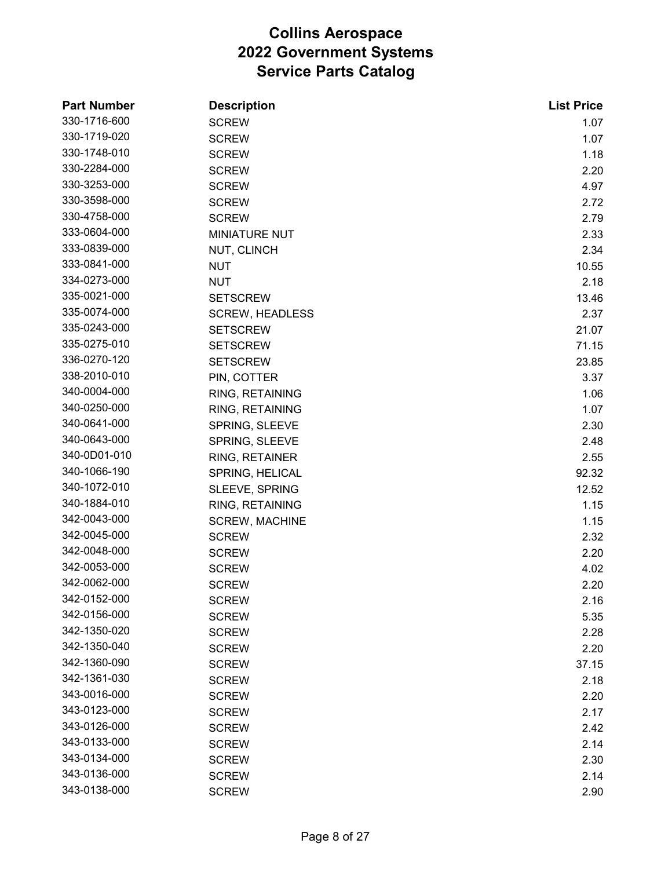| <b>Part Number</b> | <b>Description</b>     | <b>List Price</b> |
|--------------------|------------------------|-------------------|
| 330-1716-600       | <b>SCREW</b>           | 1.07              |
| 330-1719-020       | <b>SCREW</b>           | 1.07              |
| 330-1748-010       | <b>SCREW</b>           | 1.18              |
| 330-2284-000       | <b>SCREW</b>           | 2.20              |
| 330-3253-000       | <b>SCREW</b>           | 4.97              |
| 330-3598-000       | <b>SCREW</b>           | 2.72              |
| 330-4758-000       | <b>SCREW</b>           | 2.79              |
| 333-0604-000       | <b>MINIATURE NUT</b>   | 2.33              |
| 333-0839-000       | NUT, CLINCH            | 2.34              |
| 333-0841-000       | <b>NUT</b>             | 10.55             |
| 334-0273-000       | <b>NUT</b>             | 2.18              |
| 335-0021-000       | <b>SETSCREW</b>        | 13.46             |
| 335-0074-000       | <b>SCREW, HEADLESS</b> | 2.37              |
| 335-0243-000       | <b>SETSCREW</b>        | 21.07             |
| 335-0275-010       | <b>SETSCREW</b>        | 71.15             |
| 336-0270-120       | <b>SETSCREW</b>        | 23.85             |
| 338-2010-010       | PIN, COTTER            | 3.37              |
| 340-0004-000       | RING, RETAINING        | 1.06              |
| 340-0250-000       | RING, RETAINING        | 1.07              |
| 340-0641-000       | SPRING, SLEEVE         | 2.30              |
| 340-0643-000       | SPRING, SLEEVE         | 2.48              |
| 340-0D01-010       | RING, RETAINER         | 2.55              |
| 340-1066-190       | SPRING, HELICAL        | 92.32             |
| 340-1072-010       | SLEEVE, SPRING         | 12.52             |
| 340-1884-010       | RING, RETAINING        | 1.15              |
| 342-0043-000       | <b>SCREW, MACHINE</b>  | 1.15              |
| 342-0045-000       | <b>SCREW</b>           | 2.32              |
| 342-0048-000       | <b>SCREW</b>           | 2.20              |
| 342-0053-000       | <b>SCREW</b>           | 4.02              |
| 342-0062-000       | <b>SCREW</b>           | 2.20              |
| 342-0152-000       | <b>SCREW</b>           | 2.16              |
| 342-0156-000       | <b>SCREW</b>           | 5.35              |
| 342-1350-020       | <b>SCREW</b>           | 2.28              |
| 342-1350-040       | <b>SCREW</b>           | 2.20              |
| 342-1360-090       | <b>SCREW</b>           | 37.15             |
| 342-1361-030       | <b>SCREW</b>           | 2.18              |
| 343-0016-000       | <b>SCREW</b>           | 2.20              |
| 343-0123-000       | <b>SCREW</b>           | 2.17              |
| 343-0126-000       | <b>SCREW</b>           | 2.42              |
| 343-0133-000       | <b>SCREW</b>           | 2.14              |
| 343-0134-000       | <b>SCREW</b>           | 2.30              |
| 343-0136-000       | <b>SCREW</b>           | 2.14              |
| 343-0138-000       | <b>SCREW</b>           | 2.90              |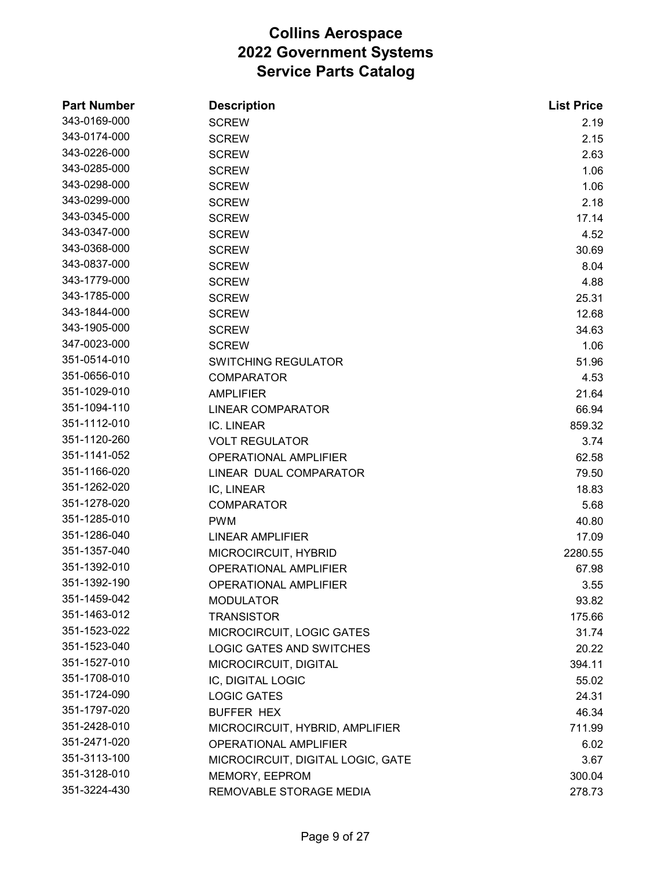| <b>Part Number</b> | <b>Description</b>                | <b>List Price</b> |
|--------------------|-----------------------------------|-------------------|
| 343-0169-000       | <b>SCREW</b>                      | 2.19              |
| 343-0174-000       | <b>SCREW</b>                      | 2.15              |
| 343-0226-000       | <b>SCREW</b>                      | 2.63              |
| 343-0285-000       | <b>SCREW</b>                      | 1.06              |
| 343-0298-000       | <b>SCREW</b>                      | 1.06              |
| 343-0299-000       | <b>SCREW</b>                      | 2.18              |
| 343-0345-000       | <b>SCREW</b>                      | 17.14             |
| 343-0347-000       | <b>SCREW</b>                      | 4.52              |
| 343-0368-000       | <b>SCREW</b>                      | 30.69             |
| 343-0837-000       | <b>SCREW</b>                      | 8.04              |
| 343-1779-000       | <b>SCREW</b>                      | 4.88              |
| 343-1785-000       | <b>SCREW</b>                      | 25.31             |
| 343-1844-000       | <b>SCREW</b>                      | 12.68             |
| 343-1905-000       | <b>SCREW</b>                      | 34.63             |
| 347-0023-000       | <b>SCREW</b>                      | 1.06              |
| 351-0514-010       | <b>SWITCHING REGULATOR</b>        | 51.96             |
| 351-0656-010       | <b>COMPARATOR</b>                 | 4.53              |
| 351-1029-010       | <b>AMPLIFIER</b>                  | 21.64             |
| 351-1094-110       | <b>LINEAR COMPARATOR</b>          | 66.94             |
| 351-1112-010       | IC. LINEAR                        | 859.32            |
| 351-1120-260       | <b>VOLT REGULATOR</b>             | 3.74              |
| 351-1141-052       | <b>OPERATIONAL AMPLIFIER</b>      | 62.58             |
| 351-1166-020       | LINEAR DUAL COMPARATOR            | 79.50             |
| 351-1262-020       | IC, LINEAR                        | 18.83             |
| 351-1278-020       | <b>COMPARATOR</b>                 | 5.68              |
| 351-1285-010       | <b>PWM</b>                        | 40.80             |
| 351-1286-040       | <b>LINEAR AMPLIFIER</b>           | 17.09             |
| 351-1357-040       | MICROCIRCUIT, HYBRID              | 2280.55           |
| 351-1392-010       | <b>OPERATIONAL AMPLIFIER</b>      | 67.98             |
| 351-1392-190       | <b>OPERATIONAL AMPLIFIER</b>      | 3.55              |
| 351-1459-042       | <b>MODULATOR</b>                  | 93.82             |
| 351-1463-012       | <b>TRANSISTOR</b>                 | 175.66            |
| 351-1523-022       | MICROCIRCUIT, LOGIC GATES         | 31.74             |
| 351-1523-040       | <b>LOGIC GATES AND SWITCHES</b>   | 20.22             |
| 351-1527-010       | MICROCIRCUIT, DIGITAL             | 394.11            |
| 351-1708-010       | IC, DIGITAL LOGIC                 | 55.02             |
| 351-1724-090       | <b>LOGIC GATES</b>                | 24.31             |
| 351-1797-020       | <b>BUFFER HEX</b>                 | 46.34             |
| 351-2428-010       | MICROCIRCUIT, HYBRID, AMPLIFIER   | 711.99            |
| 351-2471-020       | <b>OPERATIONAL AMPLIFIER</b>      | 6.02              |
| 351-3113-100       | MICROCIRCUIT, DIGITAL LOGIC, GATE | 3.67              |
| 351-3128-010       | MEMORY, EEPROM                    | 300.04            |
| 351-3224-430       | REMOVABLE STORAGE MEDIA           | 278.73            |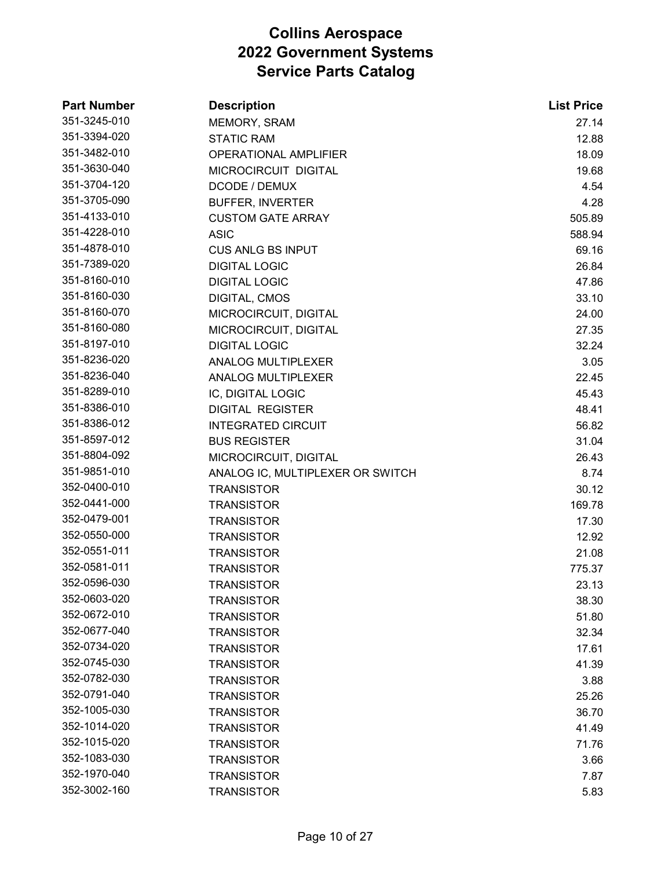| <b>Part Number</b> | <b>Description</b>               | <b>List Price</b> |
|--------------------|----------------------------------|-------------------|
| 351-3245-010       | MEMORY, SRAM                     | 27.14             |
| 351-3394-020       | <b>STATIC RAM</b>                | 12.88             |
| 351-3482-010       | <b>OPERATIONAL AMPLIFIER</b>     | 18.09             |
| 351-3630-040       | MICROCIRCUIT DIGITAL             | 19.68             |
| 351-3704-120       | DCODE / DEMUX                    | 4.54              |
| 351-3705-090       | <b>BUFFER, INVERTER</b>          | 4.28              |
| 351-4133-010       | <b>CUSTOM GATE ARRAY</b>         | 505.89            |
| 351-4228-010       | <b>ASIC</b>                      | 588.94            |
| 351-4878-010       | <b>CUS ANLG BS INPUT</b>         | 69.16             |
| 351-7389-020       | <b>DIGITAL LOGIC</b>             | 26.84             |
| 351-8160-010       | <b>DIGITAL LOGIC</b>             | 47.86             |
| 351-8160-030       | DIGITAL, CMOS                    | 33.10             |
| 351-8160-070       | MICROCIRCUIT, DIGITAL            | 24.00             |
| 351-8160-080       | MICROCIRCUIT, DIGITAL            | 27.35             |
| 351-8197-010       | <b>DIGITAL LOGIC</b>             | 32.24             |
| 351-8236-020       | ANALOG MULTIPLEXER               | 3.05              |
| 351-8236-040       | ANALOG MULTIPLEXER               | 22.45             |
| 351-8289-010       | IC, DIGITAL LOGIC                | 45.43             |
| 351-8386-010       | <b>DIGITAL REGISTER</b>          | 48.41             |
| 351-8386-012       | <b>INTEGRATED CIRCUIT</b>        | 56.82             |
| 351-8597-012       | <b>BUS REGISTER</b>              | 31.04             |
| 351-8804-092       | MICROCIRCUIT, DIGITAL            | 26.43             |
| 351-9851-010       | ANALOG IC, MULTIPLEXER OR SWITCH | 8.74              |
| 352-0400-010       | <b>TRANSISTOR</b>                | 30.12             |
| 352-0441-000       | <b>TRANSISTOR</b>                | 169.78            |
| 352-0479-001       | <b>TRANSISTOR</b>                | 17.30             |
| 352-0550-000       | <b>TRANSISTOR</b>                | 12.92             |
| 352-0551-011       | <b>TRANSISTOR</b>                | 21.08             |
| 352-0581-011       | <b>TRANSISTOR</b>                | 775.37            |
| 352-0596-030       | <b>TRANSISTOR</b>                | 23.13             |
| 352-0603-020       | <b>TRANSISTOR</b>                | 38.30             |
| 352-0672-010       | <b>TRANSISTOR</b>                | 51.80             |
| 352-0677-040       | <b>TRANSISTOR</b>                | 32.34             |
| 352-0734-020       | <b>TRANSISTOR</b>                | 17.61             |
| 352-0745-030       | <b>TRANSISTOR</b>                | 41.39             |
| 352-0782-030       | <b>TRANSISTOR</b>                | 3.88              |
| 352-0791-040       | <b>TRANSISTOR</b>                | 25.26             |
| 352-1005-030       | <b>TRANSISTOR</b>                | 36.70             |
| 352-1014-020       | <b>TRANSISTOR</b>                | 41.49             |
| 352-1015-020       | <b>TRANSISTOR</b>                | 71.76             |
| 352-1083-030       | <b>TRANSISTOR</b>                | 3.66              |
| 352-1970-040       | <b>TRANSISTOR</b>                | 7.87              |
| 352-3002-160       | <b>TRANSISTOR</b>                | 5.83              |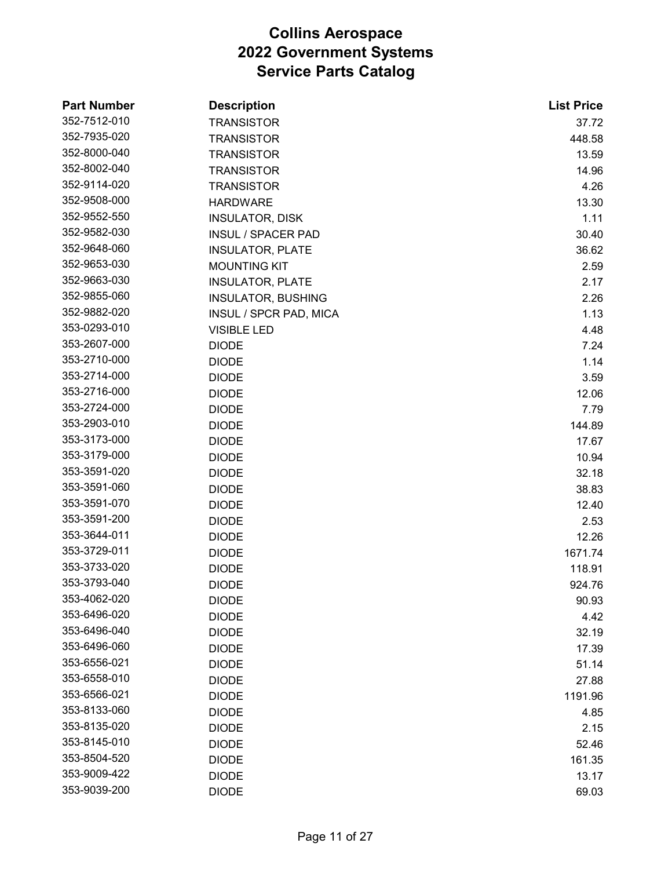| <b>Part Number</b> | <b>Description</b>        | <b>List Price</b> |
|--------------------|---------------------------|-------------------|
| 352-7512-010       | <b>TRANSISTOR</b>         | 37.72             |
| 352-7935-020       | <b>TRANSISTOR</b>         | 448.58            |
| 352-8000-040       | <b>TRANSISTOR</b>         | 13.59             |
| 352-8002-040       | <b>TRANSISTOR</b>         | 14.96             |
| 352-9114-020       | <b>TRANSISTOR</b>         | 4.26              |
| 352-9508-000       | <b>HARDWARE</b>           | 13.30             |
| 352-9552-550       | <b>INSULATOR, DISK</b>    | 1.11              |
| 352-9582-030       | <b>INSUL / SPACER PAD</b> | 30.40             |
| 352-9648-060       | <b>INSULATOR, PLATE</b>   | 36.62             |
| 352-9653-030       | <b>MOUNTING KIT</b>       | 2.59              |
| 352-9663-030       | <b>INSULATOR, PLATE</b>   | 2.17              |
| 352-9855-060       | <b>INSULATOR, BUSHING</b> | 2.26              |
| 352-9882-020       | INSUL / SPCR PAD, MICA    | 1.13              |
| 353-0293-010       | <b>VISIBLE LED</b>        | 4.48              |
| 353-2607-000       | <b>DIODE</b>              | 7.24              |
| 353-2710-000       | <b>DIODE</b>              | 1.14              |
| 353-2714-000       | <b>DIODE</b>              | 3.59              |
| 353-2716-000       | <b>DIODE</b>              | 12.06             |
| 353-2724-000       | <b>DIODE</b>              | 7.79              |
| 353-2903-010       | <b>DIODE</b>              | 144.89            |
| 353-3173-000       | <b>DIODE</b>              | 17.67             |
| 353-3179-000       | <b>DIODE</b>              | 10.94             |
| 353-3591-020       | <b>DIODE</b>              | 32.18             |
| 353-3591-060       | <b>DIODE</b>              | 38.83             |
| 353-3591-070       | <b>DIODE</b>              | 12.40             |
| 353-3591-200       | <b>DIODE</b>              | 2.53              |
| 353-3644-011       | <b>DIODE</b>              | 12.26             |
| 353-3729-011       | <b>DIODE</b>              | 1671.74           |
| 353-3733-020       | <b>DIODE</b>              | 118.91            |
| 353-3793-040       | <b>DIODE</b>              | 924.76            |
| 353-4062-020       | <b>DIODE</b>              | 90.93             |
| 353-6496-020       | <b>DIODE</b>              | 4.42              |
| 353-6496-040       | <b>DIODE</b>              | 32.19             |
| 353-6496-060       | <b>DIODE</b>              | 17.39             |
| 353-6556-021       | <b>DIODE</b>              | 51.14             |
| 353-6558-010       | <b>DIODE</b>              | 27.88             |
| 353-6566-021       | <b>DIODE</b>              | 1191.96           |
| 353-8133-060       | <b>DIODE</b>              | 4.85              |
| 353-8135-020       | <b>DIODE</b>              | 2.15              |
| 353-8145-010       | <b>DIODE</b>              | 52.46             |
| 353-8504-520       | <b>DIODE</b>              | 161.35            |
| 353-9009-422       | <b>DIODE</b>              | 13.17             |
| 353-9039-200       | <b>DIODE</b>              | 69.03             |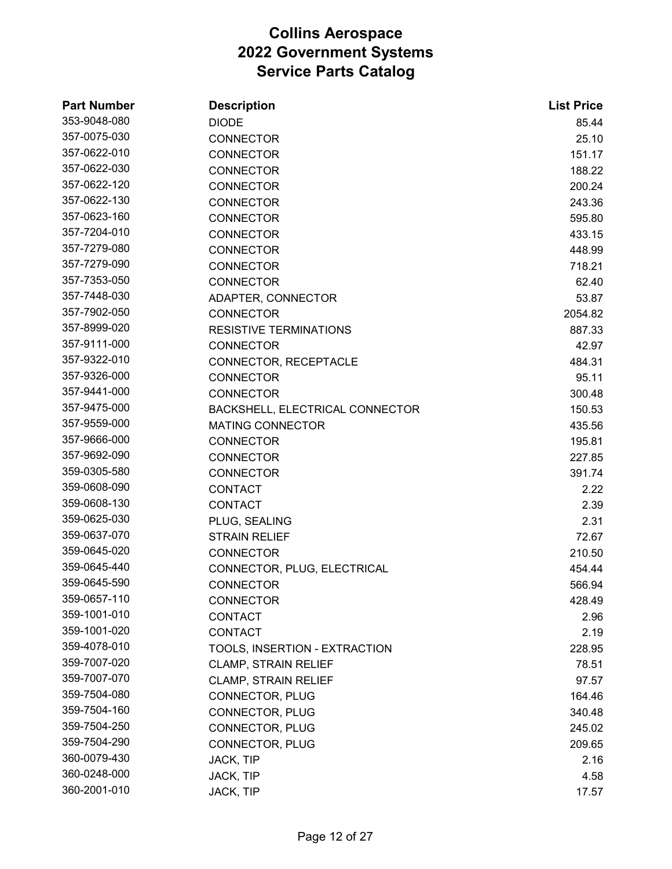| <b>Part Number</b> | <b>Description</b>              | <b>List Price</b> |
|--------------------|---------------------------------|-------------------|
| 353-9048-080       | <b>DIODE</b>                    | 85.44             |
| 357-0075-030       | <b>CONNECTOR</b>                | 25.10             |
| 357-0622-010       | <b>CONNECTOR</b>                | 151.17            |
| 357-0622-030       | <b>CONNECTOR</b>                | 188.22            |
| 357-0622-120       | <b>CONNECTOR</b>                | 200.24            |
| 357-0622-130       | <b>CONNECTOR</b>                | 243.36            |
| 357-0623-160       | <b>CONNECTOR</b>                | 595.80            |
| 357-7204-010       | <b>CONNECTOR</b>                | 433.15            |
| 357-7279-080       | <b>CONNECTOR</b>                | 448.99            |
| 357-7279-090       | <b>CONNECTOR</b>                | 718.21            |
| 357-7353-050       | <b>CONNECTOR</b>                | 62.40             |
| 357-7448-030       | ADAPTER, CONNECTOR              | 53.87             |
| 357-7902-050       | <b>CONNECTOR</b>                | 2054.82           |
| 357-8999-020       | <b>RESISTIVE TERMINATIONS</b>   | 887.33            |
| 357-9111-000       | <b>CONNECTOR</b>                | 42.97             |
| 357-9322-010       | CONNECTOR, RECEPTACLE           | 484.31            |
| 357-9326-000       | <b>CONNECTOR</b>                | 95.11             |
| 357-9441-000       | <b>CONNECTOR</b>                | 300.48            |
| 357-9475-000       | BACKSHELL, ELECTRICAL CONNECTOR | 150.53            |
| 357-9559-000       | <b>MATING CONNECTOR</b>         | 435.56            |
| 357-9666-000       | <b>CONNECTOR</b>                | 195.81            |
| 357-9692-090       | <b>CONNECTOR</b>                | 227.85            |
| 359-0305-580       | <b>CONNECTOR</b>                | 391.74            |
| 359-0608-090       | CONTACT                         | 2.22              |
| 359-0608-130       | <b>CONTACT</b>                  | 2.39              |
| 359-0625-030       | PLUG, SEALING                   | 2.31              |
| 359-0637-070       | <b>STRAIN RELIEF</b>            | 72.67             |
| 359-0645-020       | <b>CONNECTOR</b>                | 210.50            |
| 359-0645-440       | CONNECTOR, PLUG, ELECTRICAL     | 454.44            |
| 359-0645-590       | <b>CONNECTOR</b>                | 566.94            |
| 359-0657-110       | <b>CONNECTOR</b>                | 428.49            |
| 359-1001-010       | <b>CONTACT</b>                  | 2.96              |
| 359-1001-020       | <b>CONTACT</b>                  | 2.19              |
| 359-4078-010       | TOOLS, INSERTION - EXTRACTION   | 228.95            |
| 359-7007-020       | CLAMP, STRAIN RELIEF            | 78.51             |
| 359-7007-070       | <b>CLAMP, STRAIN RELIEF</b>     | 97.57             |
| 359-7504-080       | <b>CONNECTOR, PLUG</b>          | 164.46            |
| 359-7504-160       | CONNECTOR, PLUG                 | 340.48            |
| 359-7504-250       | <b>CONNECTOR, PLUG</b>          | 245.02            |
| 359-7504-290       | CONNECTOR, PLUG                 | 209.65            |
| 360-0079-430       | JACK, TIP                       | 2.16              |
| 360-0248-000       | JACK, TIP                       | 4.58              |
| 360-2001-010       | JACK, TIP                       | 17.57             |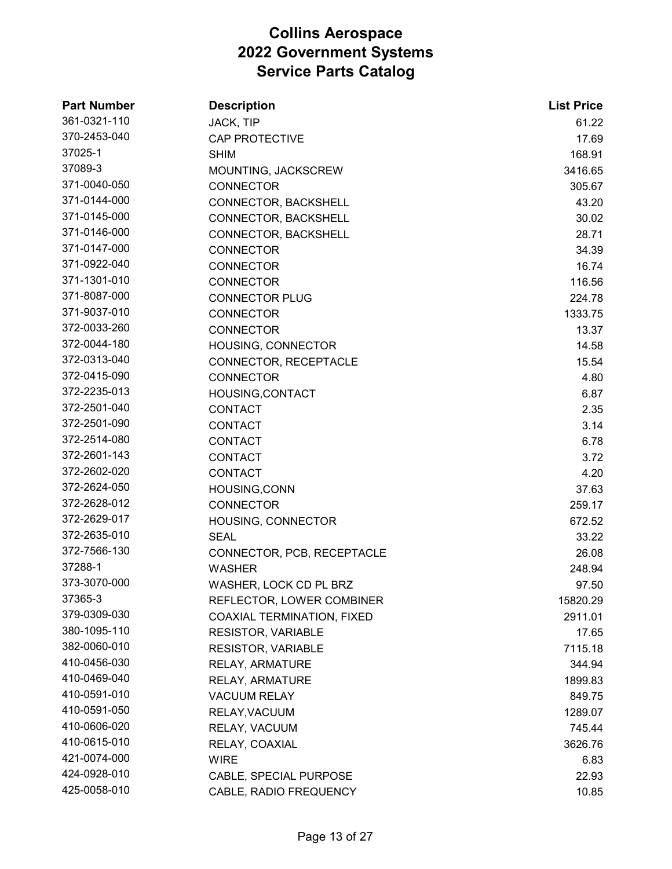| <b>Part Number</b> | <b>Description</b>                | <b>List Price</b> |
|--------------------|-----------------------------------|-------------------|
| 361-0321-110       | JACK, TIP                         | 61.22             |
| 370-2453-040       | <b>CAP PROTECTIVE</b>             | 17.69             |
| 37025-1            | <b>SHIM</b>                       | 168.91            |
| 37089-3            | MOUNTING, JACKSCREW               | 3416.65           |
| 371-0040-050       | <b>CONNECTOR</b>                  | 305.67            |
| 371-0144-000       | CONNECTOR, BACKSHELL              | 43.20             |
| 371-0145-000       | CONNECTOR, BACKSHELL              | 30.02             |
| 371-0146-000       | CONNECTOR, BACKSHELL              | 28.71             |
| 371-0147-000       | <b>CONNECTOR</b>                  | 34.39             |
| 371-0922-040       | <b>CONNECTOR</b>                  | 16.74             |
| 371-1301-010       | <b>CONNECTOR</b>                  | 116.56            |
| 371-8087-000       | <b>CONNECTOR PLUG</b>             | 224.78            |
| 371-9037-010       | <b>CONNECTOR</b>                  | 1333.75           |
| 372-0033-260       | <b>CONNECTOR</b>                  | 13.37             |
| 372-0044-180       | HOUSING, CONNECTOR                | 14.58             |
| 372-0313-040       | CONNECTOR, RECEPTACLE             | 15.54             |
| 372-0415-090       | <b>CONNECTOR</b>                  | 4.80              |
| 372-2235-013       | HOUSING, CONTACT                  | 6.87              |
| 372-2501-040       | <b>CONTACT</b>                    | 2.35              |
| 372-2501-090       | <b>CONTACT</b>                    | 3.14              |
| 372-2514-080       | CONTACT                           | 6.78              |
| 372-2601-143       | <b>CONTACT</b>                    | 3.72              |
| 372-2602-020       | CONTACT                           | 4.20              |
| 372-2624-050       | HOUSING, CONN                     | 37.63             |
| 372-2628-012       | <b>CONNECTOR</b>                  | 259.17            |
| 372-2629-017       | HOUSING, CONNECTOR                | 672.52            |
| 372-2635-010       | <b>SEAL</b>                       | 33.22             |
| 372-7566-130       | CONNECTOR, PCB, RECEPTACLE        | 26.08             |
| 37288-1            | <b>WASHER</b>                     | 248.94            |
| 373-3070-000       | WASHER, LOCK CD PL BRZ            | 97.50             |
| 37365-3            | REFLECTOR, LOWER COMBINER         | 15820.29          |
| 379-0309-030       | <b>COAXIAL TERMINATION, FIXED</b> | 2911.01           |
| 380-1095-110       | <b>RESISTOR, VARIABLE</b>         | 17.65             |
| 382-0060-010       | <b>RESISTOR, VARIABLE</b>         | 7115.18           |
| 410-0456-030       | RELAY, ARMATURE                   | 344.94            |
| 410-0469-040       | <b>RELAY, ARMATURE</b>            | 1899.83           |
| 410-0591-010       | <b>VACUUM RELAY</b>               | 849.75            |
| 410-0591-050       | RELAY, VACUUM                     | 1289.07           |
| 410-0606-020       | RELAY, VACUUM                     | 745.44            |
| 410-0615-010       | RELAY, COAXIAL                    | 3626.76           |
| 421-0074-000       | <b>WIRE</b>                       | 6.83              |
| 424-0928-010       | CABLE, SPECIAL PURPOSE            | 22.93             |
| 425-0058-010       | CABLE, RADIO FREQUENCY            | 10.85             |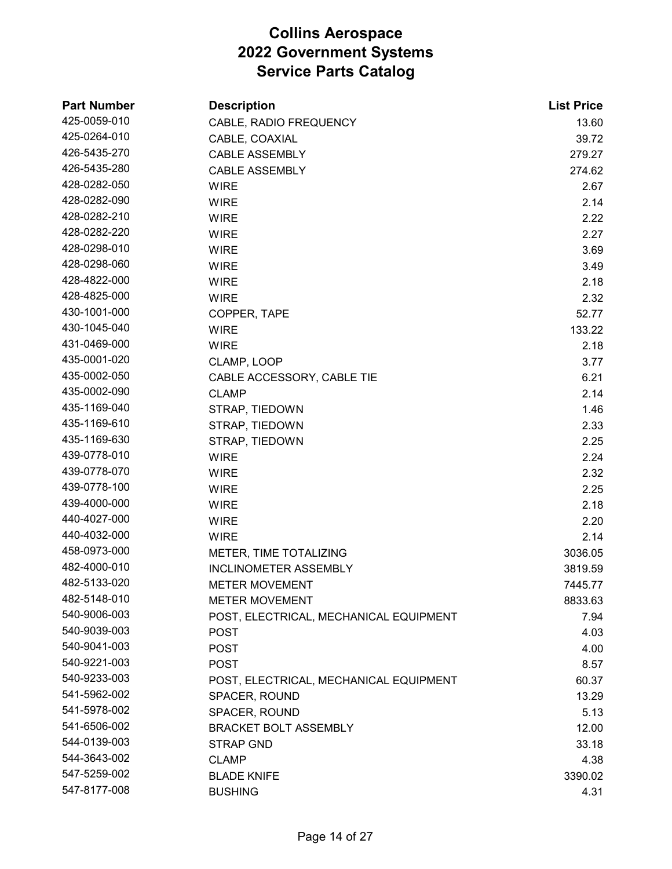| <b>Part Number</b> | <b>Description</b>                     | <b>List Price</b> |
|--------------------|----------------------------------------|-------------------|
| 425-0059-010       | CABLE, RADIO FREQUENCY                 | 13.60             |
| 425-0264-010       | CABLE, COAXIAL                         | 39.72             |
| 426-5435-270       | <b>CABLE ASSEMBLY</b>                  | 279.27            |
| 426-5435-280       | <b>CABLE ASSEMBLY</b>                  | 274.62            |
| 428-0282-050       | <b>WIRE</b>                            | 2.67              |
| 428-0282-090       | <b>WIRE</b>                            | 2.14              |
| 428-0282-210       | <b>WIRE</b>                            | 2.22              |
| 428-0282-220       | <b>WIRE</b>                            | 2.27              |
| 428-0298-010       | <b>WIRE</b>                            | 3.69              |
| 428-0298-060       | <b>WIRE</b>                            | 3.49              |
| 428-4822-000       | <b>WIRE</b>                            | 2.18              |
| 428-4825-000       | <b>WIRE</b>                            | 2.32              |
| 430-1001-000       | COPPER, TAPE                           | 52.77             |
| 430-1045-040       | <b>WIRE</b>                            | 133.22            |
| 431-0469-000       | <b>WIRE</b>                            | 2.18              |
| 435-0001-020       | CLAMP, LOOP                            | 3.77              |
| 435-0002-050       | CABLE ACCESSORY, CABLE TIE             | 6.21              |
| 435-0002-090       | <b>CLAMP</b>                           | 2.14              |
| 435-1169-040       | STRAP, TIEDOWN                         | 1.46              |
| 435-1169-610       | STRAP, TIEDOWN                         | 2.33              |
| 435-1169-630       | STRAP, TIEDOWN                         | 2.25              |
| 439-0778-010       | <b>WIRE</b>                            | 2.24              |
| 439-0778-070       | <b>WIRE</b>                            | 2.32              |
| 439-0778-100       | <b>WIRE</b>                            | 2.25              |
| 439-4000-000       | <b>WIRE</b>                            | 2.18              |
| 440-4027-000       | <b>WIRE</b>                            | 2.20              |
| 440-4032-000       | <b>WIRE</b>                            | 2.14              |
| 458-0973-000       | METER, TIME TOTALIZING                 | 3036.05           |
| 482-4000-010       | <b>INCLINOMETER ASSEMBLY</b>           | 3819.59           |
| 482-5133-020       | METER MOVEMENT                         | 7445.77           |
| 482-5148-010       | <b>METER MOVEMENT</b>                  | 8833.63           |
| 540-9006-003       | POST, ELECTRICAL, MECHANICAL EQUIPMENT | 7.94              |
| 540-9039-003       | <b>POST</b>                            | 4.03              |
| 540-9041-003       | <b>POST</b>                            | 4.00              |
| 540-9221-003       | <b>POST</b>                            | 8.57              |
| 540-9233-003       | POST, ELECTRICAL, MECHANICAL EQUIPMENT | 60.37             |
| 541-5962-002       | SPACER, ROUND                          | 13.29             |
| 541-5978-002       | SPACER, ROUND                          | 5.13              |
| 541-6506-002       | <b>BRACKET BOLT ASSEMBLY</b>           | 12.00             |
| 544-0139-003       | <b>STRAP GND</b>                       | 33.18             |
| 544-3643-002       | <b>CLAMP</b>                           | 4.38              |
| 547-5259-002       | <b>BLADE KNIFE</b>                     | 3390.02           |
| 547-8177-008       | <b>BUSHING</b>                         | 4.31              |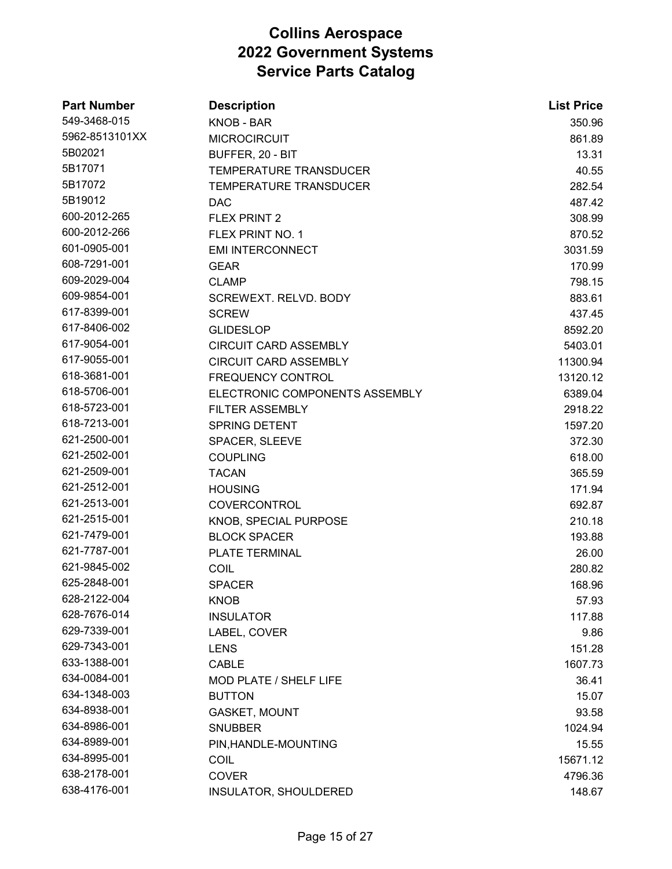| <b>Part Number</b> | <b>Description</b>             | <b>List Price</b> |
|--------------------|--------------------------------|-------------------|
| 549-3468-015       | <b>KNOB - BAR</b>              | 350.96            |
| 5962-8513101XX     | <b>MICROCIRCUIT</b>            | 861.89            |
| 5B02021            | BUFFER, 20 - BIT               | 13.31             |
| 5B17071            | TEMPERATURE TRANSDUCER         | 40.55             |
| 5B17072            | TEMPERATURE TRANSDUCER         | 282.54            |
| 5B19012            | <b>DAC</b>                     | 487.42            |
| 600-2012-265       | FLEX PRINT 2                   | 308.99            |
| 600-2012-266       | FLEX PRINT NO. 1               | 870.52            |
| 601-0905-001       | <b>EMI INTERCONNECT</b>        | 3031.59           |
| 608-7291-001       | <b>GEAR</b>                    | 170.99            |
| 609-2029-004       | <b>CLAMP</b>                   | 798.15            |
| 609-9854-001       | SCREWEXT. RELVD. BODY          | 883.61            |
| 617-8399-001       | <b>SCREW</b>                   | 437.45            |
| 617-8406-002       | <b>GLIDESLOP</b>               | 8592.20           |
| 617-9054-001       | <b>CIRCUIT CARD ASSEMBLY</b>   | 5403.01           |
| 617-9055-001       | <b>CIRCUIT CARD ASSEMBLY</b>   | 11300.94          |
| 618-3681-001       | <b>FREQUENCY CONTROL</b>       | 13120.12          |
| 618-5706-001       | ELECTRONIC COMPONENTS ASSEMBLY | 6389.04           |
| 618-5723-001       | <b>FILTER ASSEMBLY</b>         | 2918.22           |
| 618-7213-001       | SPRING DETENT                  | 1597.20           |
| 621-2500-001       | SPACER, SLEEVE                 | 372.30            |
| 621-2502-001       | <b>COUPLING</b>                | 618.00            |
| 621-2509-001       | <b>TACAN</b>                   | 365.59            |
| 621-2512-001       | <b>HOUSING</b>                 | 171.94            |
| 621-2513-001       | COVERCONTROL                   | 692.87            |
| 621-2515-001       | KNOB, SPECIAL PURPOSE          | 210.18            |
| 621-7479-001       | <b>BLOCK SPACER</b>            | 193.88            |
| 621-7787-001       | PLATE TERMINAL                 | 26.00             |
| 621-9845-002       | COIL                           | 280.82            |
| 625-2848-001       | <b>SPACER</b>                  | 168.96            |
| 628-2122-004       | <b>KNOB</b>                    | 57.93             |
| 628-7676-014       | <b>INSULATOR</b>               | 117.88            |
| 629-7339-001       | LABEL, COVER                   | 9.86              |
| 629-7343-001       | <b>LENS</b>                    | 151.28            |
| 633-1388-001       | <b>CABLE</b>                   | 1607.73           |
| 634-0084-001       | MOD PLATE / SHELF LIFE         | 36.41             |
| 634-1348-003       | <b>BUTTON</b>                  | 15.07             |
| 634-8938-001       | <b>GASKET, MOUNT</b>           | 93.58             |
| 634-8986-001       | <b>SNUBBER</b>                 | 1024.94           |
| 634-8989-001       | PIN, HANDLE-MOUNTING           | 15.55             |
| 634-8995-001       | <b>COIL</b>                    | 15671.12          |
| 638-2178-001       | <b>COVER</b>                   | 4796.36           |
| 638-4176-001       | INSULATOR, SHOULDERED          | 148.67            |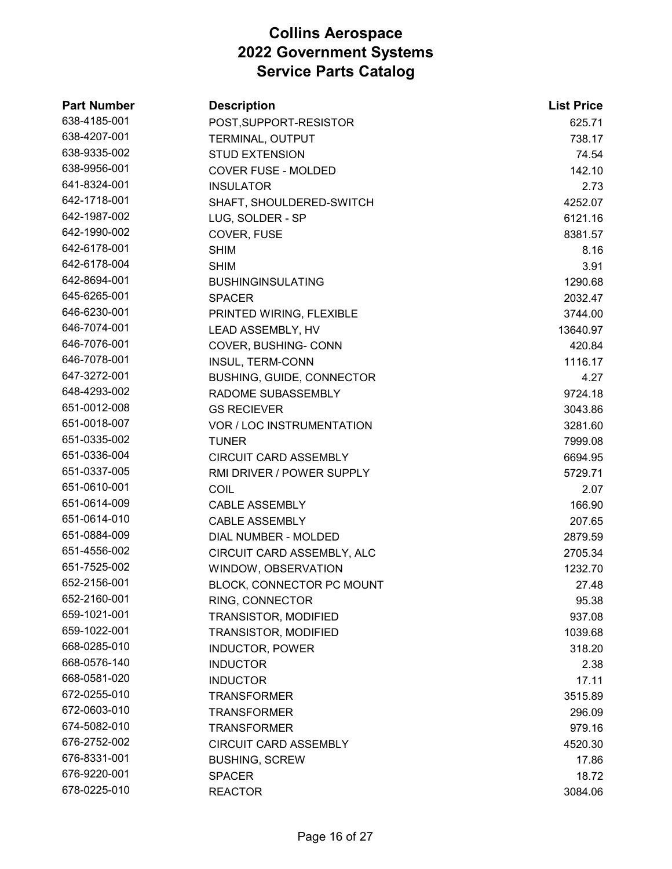| <b>Part Number</b> | <b>Description</b>               | <b>List Price</b> |
|--------------------|----------------------------------|-------------------|
| 638-4185-001       | POST, SUPPORT-RESISTOR           | 625.71            |
| 638-4207-001       | TERMINAL, OUTPUT                 | 738.17            |
| 638-9335-002       | <b>STUD EXTENSION</b>            | 74.54             |
| 638-9956-001       | <b>COVER FUSE - MOLDED</b>       | 142.10            |
| 641-8324-001       | <b>INSULATOR</b>                 | 2.73              |
| 642-1718-001       | SHAFT, SHOULDERED-SWITCH         | 4252.07           |
| 642-1987-002       | LUG, SOLDER - SP                 | 6121.16           |
| 642-1990-002       | COVER, FUSE                      | 8381.57           |
| 642-6178-001       | <b>SHIM</b>                      | 8.16              |
| 642-6178-004       | <b>SHIM</b>                      | 3.91              |
| 642-8694-001       | <b>BUSHINGINSULATING</b>         | 1290.68           |
| 645-6265-001       | <b>SPACER</b>                    | 2032.47           |
| 646-6230-001       | PRINTED WIRING, FLEXIBLE         | 3744.00           |
| 646-7074-001       | LEAD ASSEMBLY, HV                | 13640.97          |
| 646-7076-001       | COVER, BUSHING- CONN             | 420.84            |
| 646-7078-001       | <b>INSUL, TERM-CONN</b>          | 1116.17           |
| 647-3272-001       | <b>BUSHING, GUIDE, CONNECTOR</b> | 4.27              |
| 648-4293-002       | RADOME SUBASSEMBLY               | 9724.18           |
| 651-0012-008       | <b>GS RECIEVER</b>               | 3043.86           |
| 651-0018-007       | VOR / LOC INSTRUMENTATION        | 3281.60           |
| 651-0335-002       | <b>TUNER</b>                     | 7999.08           |
| 651-0336-004       | <b>CIRCUIT CARD ASSEMBLY</b>     | 6694.95           |
| 651-0337-005       | RMI DRIVER / POWER SUPPLY        | 5729.71           |
| 651-0610-001       | <b>COIL</b>                      | 2.07              |
| 651-0614-009       | <b>CABLE ASSEMBLY</b>            | 166.90            |
| 651-0614-010       | <b>CABLE ASSEMBLY</b>            | 207.65            |
| 651-0884-009       | DIAL NUMBER - MOLDED             | 2879.59           |
| 651-4556-002       | CIRCUIT CARD ASSEMBLY, ALC       | 2705.34           |
| 651-7525-002       | WINDOW, OBSERVATION              | 1232.70           |
| 652-2156-001       | BLOCK, CONNECTOR PC MOUNT        | 27.48             |
| 652-2160-001       | RING, CONNECTOR                  | 95.38             |
| 659-1021-001       | <b>TRANSISTOR, MODIFIED</b>      | 937.08            |
| 659-1022-001       | <b>TRANSISTOR, MODIFIED</b>      | 1039.68           |
| 668-0285-010       | <b>INDUCTOR, POWER</b>           | 318.20            |
| 668-0576-140       | <b>INDUCTOR</b>                  | 2.38              |
| 668-0581-020       | <b>INDUCTOR</b>                  | 17.11             |
| 672-0255-010       | <b>TRANSFORMER</b>               | 3515.89           |
| 672-0603-010       | <b>TRANSFORMER</b>               | 296.09            |
| 674-5082-010       | <b>TRANSFORMER</b>               | 979.16            |
| 676-2752-002       | <b>CIRCUIT CARD ASSEMBLY</b>     | 4520.30           |
| 676-8331-001       | <b>BUSHING, SCREW</b>            | 17.86             |
| 676-9220-001       | <b>SPACER</b>                    | 18.72             |
| 678-0225-010       | <b>REACTOR</b>                   | 3084.06           |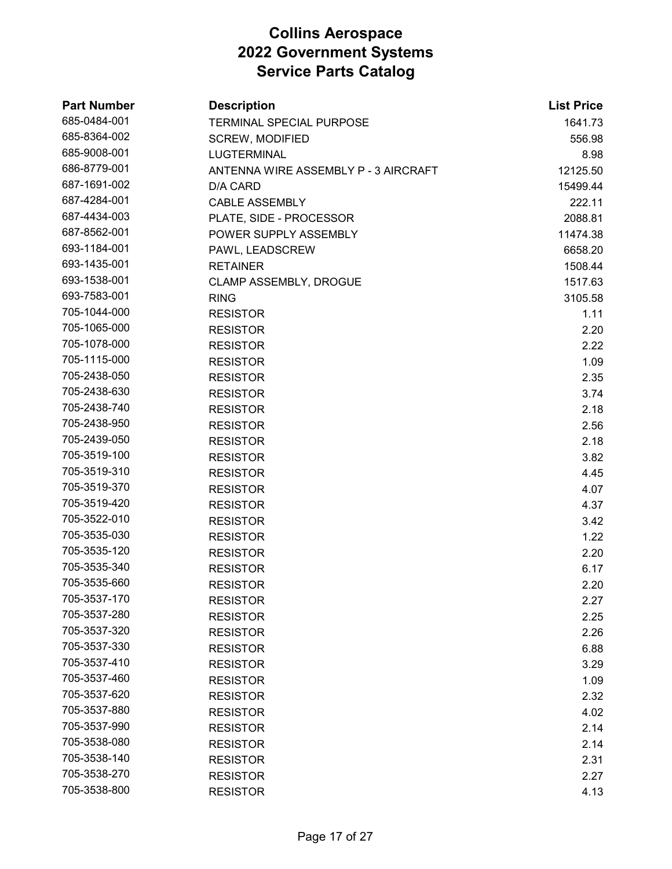| <b>Part Number</b> | <b>Description</b>                   | <b>List Price</b> |
|--------------------|--------------------------------------|-------------------|
| 685-0484-001       | TERMINAL SPECIAL PURPOSE             | 1641.73           |
| 685-8364-002       | <b>SCREW, MODIFIED</b>               | 556.98            |
| 685-9008-001       | <b>LUGTERMINAL</b>                   | 8.98              |
| 686-8779-001       | ANTENNA WIRE ASSEMBLY P - 3 AIRCRAFT | 12125.50          |
| 687-1691-002       | D/A CARD                             | 15499.44          |
| 687-4284-001       | <b>CABLE ASSEMBLY</b>                | 222.11            |
| 687-4434-003       | PLATE, SIDE - PROCESSOR              | 2088.81           |
| 687-8562-001       | POWER SUPPLY ASSEMBLY                | 11474.38          |
| 693-1184-001       | PAWL, LEADSCREW                      | 6658.20           |
| 693-1435-001       | <b>RETAINER</b>                      | 1508.44           |
| 693-1538-001       | CLAMP ASSEMBLY, DROGUE               | 1517.63           |
| 693-7583-001       | <b>RING</b>                          | 3105.58           |
| 705-1044-000       | <b>RESISTOR</b>                      | 1.11              |
| 705-1065-000       | <b>RESISTOR</b>                      | 2.20              |
| 705-1078-000       | <b>RESISTOR</b>                      | 2.22              |
| 705-1115-000       | <b>RESISTOR</b>                      | 1.09              |
| 705-2438-050       | <b>RESISTOR</b>                      | 2.35              |
| 705-2438-630       | <b>RESISTOR</b>                      | 3.74              |
| 705-2438-740       | <b>RESISTOR</b>                      | 2.18              |
| 705-2438-950       | <b>RESISTOR</b>                      | 2.56              |
| 705-2439-050       | <b>RESISTOR</b>                      | 2.18              |
| 705-3519-100       | <b>RESISTOR</b>                      | 3.82              |
| 705-3519-310       | <b>RESISTOR</b>                      | 4.45              |
| 705-3519-370       | <b>RESISTOR</b>                      | 4.07              |
| 705-3519-420       | <b>RESISTOR</b>                      | 4.37              |
| 705-3522-010       | <b>RESISTOR</b>                      | 3.42              |
| 705-3535-030       | <b>RESISTOR</b>                      | 1.22              |
| 705-3535-120       | <b>RESISTOR</b>                      | 2.20              |
| 705-3535-340       | <b>RESISTOR</b>                      | 6.17              |
| 705-3535-660       | <b>RESISTOR</b>                      | 2.20              |
| 705-3537-170       | <b>RESISTOR</b>                      | 2.27              |
| 705-3537-280       | <b>RESISTOR</b>                      | 2.25              |
| 705-3537-320       | <b>RESISTOR</b>                      | 2.26              |
| 705-3537-330       | <b>RESISTOR</b>                      | 6.88              |
| 705-3537-410       | <b>RESISTOR</b>                      | 3.29              |
| 705-3537-460       | <b>RESISTOR</b>                      | 1.09              |
| 705-3537-620       | <b>RESISTOR</b>                      | 2.32              |
| 705-3537-880       | <b>RESISTOR</b>                      | 4.02              |
| 705-3537-990       | <b>RESISTOR</b>                      | 2.14              |
| 705-3538-080       | <b>RESISTOR</b>                      | 2.14              |
| 705-3538-140       | <b>RESISTOR</b>                      | 2.31              |
| 705-3538-270       | <b>RESISTOR</b>                      | 2.27              |
| 705-3538-800       | <b>RESISTOR</b>                      | 4.13              |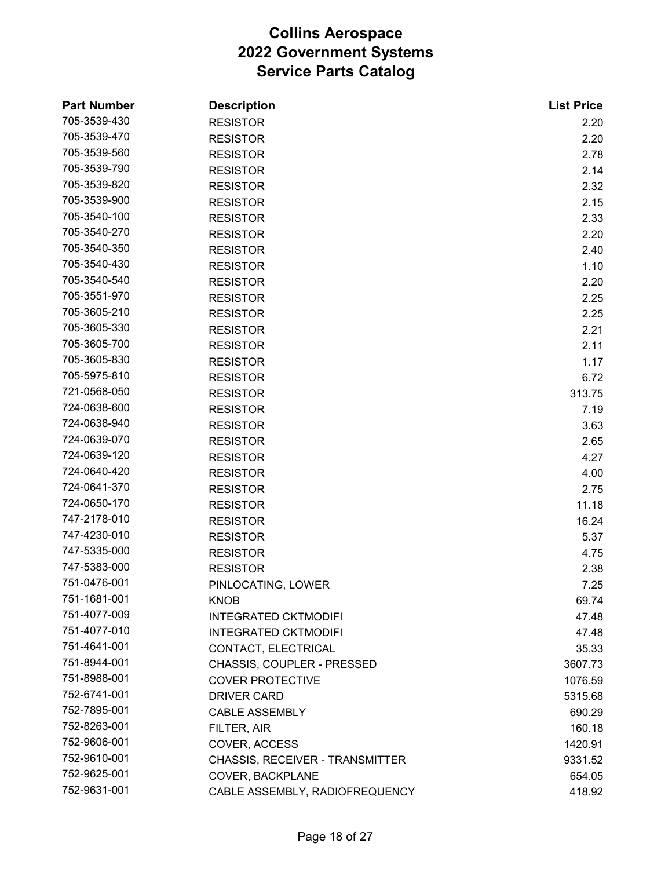| <b>Part Number</b> | <b>Description</b>              | <b>List Price</b> |
|--------------------|---------------------------------|-------------------|
| 705-3539-430       | <b>RESISTOR</b>                 | 2.20              |
| 705-3539-470       | <b>RESISTOR</b>                 | 2.20              |
| 705-3539-560       | <b>RESISTOR</b>                 | 2.78              |
| 705-3539-790       | <b>RESISTOR</b>                 | 2.14              |
| 705-3539-820       | <b>RESISTOR</b>                 | 2.32              |
| 705-3539-900       | <b>RESISTOR</b>                 | 2.15              |
| 705-3540-100       | <b>RESISTOR</b>                 | 2.33              |
| 705-3540-270       | <b>RESISTOR</b>                 | 2.20              |
| 705-3540-350       | <b>RESISTOR</b>                 | 2.40              |
| 705-3540-430       | <b>RESISTOR</b>                 | 1.10              |
| 705-3540-540       | <b>RESISTOR</b>                 | 2.20              |
| 705-3551-970       | <b>RESISTOR</b>                 | 2.25              |
| 705-3605-210       | <b>RESISTOR</b>                 | 2.25              |
| 705-3605-330       | <b>RESISTOR</b>                 | 2.21              |
| 705-3605-700       | <b>RESISTOR</b>                 | 2.11              |
| 705-3605-830       | <b>RESISTOR</b>                 | 1.17              |
| 705-5975-810       | <b>RESISTOR</b>                 | 6.72              |
| 721-0568-050       | <b>RESISTOR</b>                 | 313.75            |
| 724-0638-600       | <b>RESISTOR</b>                 | 7.19              |
| 724-0638-940       | <b>RESISTOR</b>                 | 3.63              |
| 724-0639-070       | <b>RESISTOR</b>                 | 2.65              |
| 724-0639-120       | <b>RESISTOR</b>                 | 4.27              |
| 724-0640-420       | <b>RESISTOR</b>                 | 4.00              |
| 724-0641-370       | <b>RESISTOR</b>                 | 2.75              |
| 724-0650-170       | <b>RESISTOR</b>                 | 11.18             |
| 747-2178-010       | <b>RESISTOR</b>                 | 16.24             |
| 747-4230-010       | <b>RESISTOR</b>                 | 5.37              |
| 747-5335-000       | <b>RESISTOR</b>                 | 4.75              |
| 747-5383-000       | <b>RESISTOR</b>                 | 2.38              |
| 751-0476-001       | PINLOCATING, LOWER              | 7.25              |
| 751-1681-001       | <b>KNOB</b>                     | 69.74             |
| 751-4077-009       | <b>INTEGRATED CKTMODIFI</b>     | 47.48             |
| 751-4077-010       | <b>INTEGRATED CKTMODIFI</b>     | 47.48             |
| 751-4641-001       | CONTACT, ELECTRICAL             | 35.33             |
| 751-8944-001       | CHASSIS, COUPLER - PRESSED      | 3607.73           |
| 751-8988-001       | <b>COVER PROTECTIVE</b>         | 1076.59           |
| 752-6741-001       | <b>DRIVER CARD</b>              | 5315.68           |
| 752-7895-001       | <b>CABLE ASSEMBLY</b>           | 690.29            |
| 752-8263-001       | FILTER, AIR                     | 160.18            |
| 752-9606-001       | COVER, ACCESS                   | 1420.91           |
| 752-9610-001       | CHASSIS, RECEIVER - TRANSMITTER | 9331.52           |
| 752-9625-001       | COVER, BACKPLANE                | 654.05            |
| 752-9631-001       | CABLE ASSEMBLY, RADIOFREQUENCY  | 418.92            |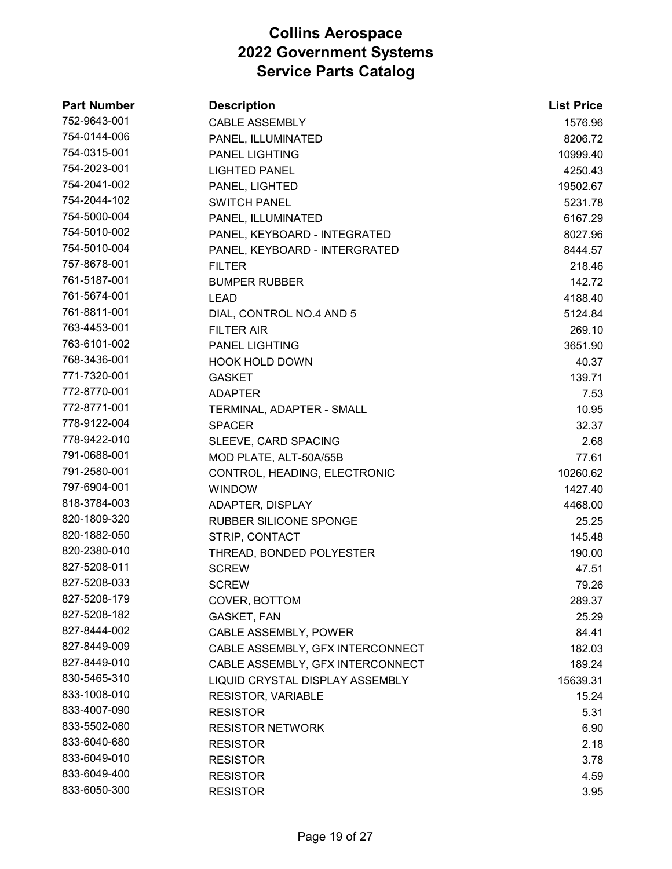| <b>Part Number</b> | <b>Description</b>               | <b>List Price</b> |
|--------------------|----------------------------------|-------------------|
| 752-9643-001       | <b>CABLE ASSEMBLY</b>            | 1576.96           |
| 754-0144-006       | PANEL, ILLUMINATED               | 8206.72           |
| 754-0315-001       | <b>PANEL LIGHTING</b>            | 10999.40          |
| 754-2023-001       | <b>LIGHTED PANEL</b>             | 4250.43           |
| 754-2041-002       | PANEL, LIGHTED                   | 19502.67          |
| 754-2044-102       | <b>SWITCH PANEL</b>              | 5231.78           |
| 754-5000-004       | PANEL, ILLUMINATED               | 6167.29           |
| 754-5010-002       | PANEL, KEYBOARD - INTEGRATED     | 8027.96           |
| 754-5010-004       | PANEL, KEYBOARD - INTERGRATED    | 8444.57           |
| 757-8678-001       | <b>FILTER</b>                    | 218.46            |
| 761-5187-001       | <b>BUMPER RUBBER</b>             | 142.72            |
| 761-5674-001       | <b>LEAD</b>                      | 4188.40           |
| 761-8811-001       | DIAL, CONTROL NO.4 AND 5         | 5124.84           |
| 763-4453-001       | <b>FILTER AIR</b>                | 269.10            |
| 763-6101-002       | <b>PANEL LIGHTING</b>            | 3651.90           |
| 768-3436-001       | <b>HOOK HOLD DOWN</b>            | 40.37             |
| 771-7320-001       | <b>GASKET</b>                    | 139.71            |
| 772-8770-001       | ADAPTER                          | 7.53              |
| 772-8771-001       | TERMINAL, ADAPTER - SMALL        | 10.95             |
| 778-9122-004       | <b>SPACER</b>                    | 32.37             |
| 778-9422-010       | SLEEVE, CARD SPACING             | 2.68              |
| 791-0688-001       | MOD PLATE, ALT-50A/55B           | 77.61             |
| 791-2580-001       | CONTROL, HEADING, ELECTRONIC     | 10260.62          |
| 797-6904-001       | <b>WINDOW</b>                    | 1427.40           |
| 818-3784-003       | ADAPTER, DISPLAY                 | 4468.00           |
| 820-1809-320       | <b>RUBBER SILICONE SPONGE</b>    | 25.25             |
| 820-1882-050       | STRIP, CONTACT                   | 145.48            |
| 820-2380-010       | THREAD, BONDED POLYESTER         | 190.00            |
| 827-5208-011       | <b>SCREW</b>                     | 47.51             |
| 827-5208-033       | <b>SCREW</b>                     | 79.26             |
| 827-5208-179       | COVER, BOTTOM                    | 289.37            |
| 827-5208-182       | <b>GASKET, FAN</b>               | 25.29             |
| 827-8444-002       | CABLE ASSEMBLY, POWER            | 84.41             |
| 827-8449-009       | CABLE ASSEMBLY, GFX INTERCONNECT | 182.03            |
| 827-8449-010       | CABLE ASSEMBLY, GFX INTERCONNECT | 189.24            |
| 830-5465-310       | LIQUID CRYSTAL DISPLAY ASSEMBLY  | 15639.31          |
| 833-1008-010       | <b>RESISTOR, VARIABLE</b>        | 15.24             |
| 833-4007-090       | <b>RESISTOR</b>                  | 5.31              |
| 833-5502-080       | <b>RESISTOR NETWORK</b>          | 6.90              |
| 833-6040-680       | <b>RESISTOR</b>                  | 2.18              |
| 833-6049-010       | <b>RESISTOR</b>                  | 3.78              |
| 833-6049-400       | <b>RESISTOR</b>                  | 4.59              |
| 833-6050-300       | <b>RESISTOR</b>                  | 3.95              |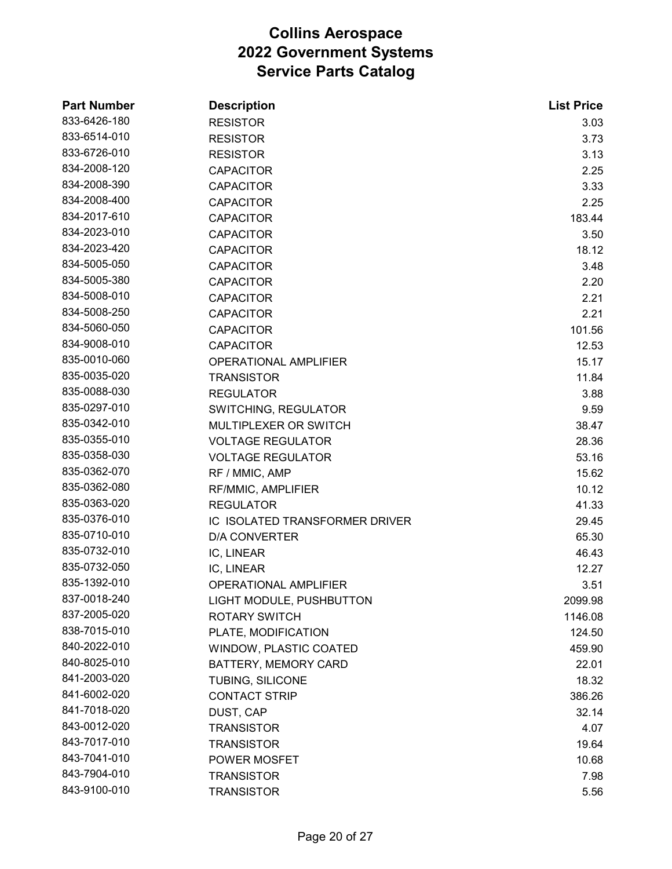| <b>Part Number</b> | <b>Description</b>             | <b>List Price</b> |
|--------------------|--------------------------------|-------------------|
| 833-6426-180       | <b>RESISTOR</b>                | 3.03              |
| 833-6514-010       | <b>RESISTOR</b>                | 3.73              |
| 833-6726-010       | <b>RESISTOR</b>                | 3.13              |
| 834-2008-120       | <b>CAPACITOR</b>               | 2.25              |
| 834-2008-390       | <b>CAPACITOR</b>               | 3.33              |
| 834-2008-400       | <b>CAPACITOR</b>               | 2.25              |
| 834-2017-610       | <b>CAPACITOR</b>               | 183.44            |
| 834-2023-010       | <b>CAPACITOR</b>               | 3.50              |
| 834-2023-420       | <b>CAPACITOR</b>               | 18.12             |
| 834-5005-050       | <b>CAPACITOR</b>               | 3.48              |
| 834-5005-380       | <b>CAPACITOR</b>               | 2.20              |
| 834-5008-010       | <b>CAPACITOR</b>               | 2.21              |
| 834-5008-250       | <b>CAPACITOR</b>               | 2.21              |
| 834-5060-050       | <b>CAPACITOR</b>               | 101.56            |
| 834-9008-010       | <b>CAPACITOR</b>               | 12.53             |
| 835-0010-060       | OPERATIONAL AMPLIFIER          | 15.17             |
| 835-0035-020       | <b>TRANSISTOR</b>              | 11.84             |
| 835-0088-030       | <b>REGULATOR</b>               | 3.88              |
| 835-0297-010       | <b>SWITCHING, REGULATOR</b>    | 9.59              |
| 835-0342-010       | MULTIPLEXER OR SWITCH          | 38.47             |
| 835-0355-010       | <b>VOLTAGE REGULATOR</b>       | 28.36             |
| 835-0358-030       | <b>VOLTAGE REGULATOR</b>       | 53.16             |
| 835-0362-070       | RF / MMIC, AMP                 | 15.62             |
| 835-0362-080       | RF/MMIC, AMPLIFIER             | 10.12             |
| 835-0363-020       | <b>REGULATOR</b>               | 41.33             |
| 835-0376-010       | IC ISOLATED TRANSFORMER DRIVER | 29.45             |
| 835-0710-010       | <b>D/A CONVERTER</b>           | 65.30             |
| 835-0732-010       | IC, LINEAR                     | 46.43             |
| 835-0732-050       | IC, LINEAR                     | 12.27             |
| 835-1392-010       | <b>OPERATIONAL AMPLIFIER</b>   | 3.51              |
| 837-0018-240       | LIGHT MODULE, PUSHBUTTON       | 2099.98           |
| 837-2005-020       | <b>ROTARY SWITCH</b>           | 1146.08           |
| 838-7015-010       | PLATE, MODIFICATION            | 124.50            |
| 840-2022-010       | WINDOW, PLASTIC COATED         | 459.90            |
| 840-8025-010       | BATTERY, MEMORY CARD           | 22.01             |
| 841-2003-020       | TUBING, SILICONE               | 18.32             |
| 841-6002-020       | <b>CONTACT STRIP</b>           | 386.26            |
| 841-7018-020       | DUST, CAP                      | 32.14             |
| 843-0012-020       | <b>TRANSISTOR</b>              | 4.07              |
| 843-7017-010       | <b>TRANSISTOR</b>              | 19.64             |
| 843-7041-010       | POWER MOSFET                   | 10.68             |
| 843-7904-010       | <b>TRANSISTOR</b>              | 7.98              |
| 843-9100-010       | <b>TRANSISTOR</b>              | 5.56              |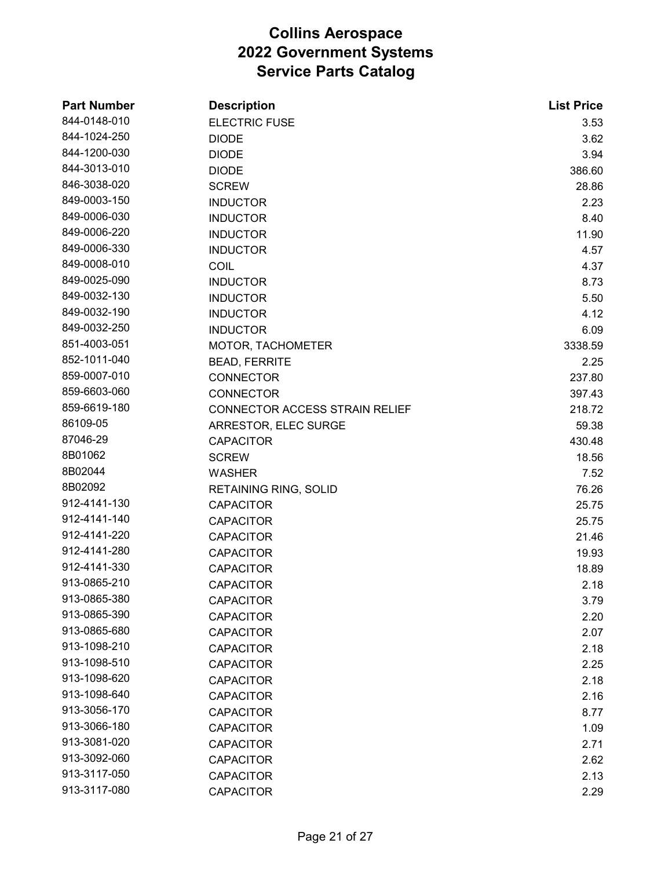| <b>Part Number</b> | <b>Description</b>             | <b>List Price</b> |
|--------------------|--------------------------------|-------------------|
| 844-0148-010       | <b>ELECTRIC FUSE</b>           | 3.53              |
| 844-1024-250       | <b>DIODE</b>                   | 3.62              |
| 844-1200-030       | <b>DIODE</b>                   | 3.94              |
| 844-3013-010       | <b>DIODE</b>                   | 386.60            |
| 846-3038-020       | <b>SCREW</b>                   | 28.86             |
| 849-0003-150       | <b>INDUCTOR</b>                | 2.23              |
| 849-0006-030       | <b>INDUCTOR</b>                | 8.40              |
| 849-0006-220       | <b>INDUCTOR</b>                | 11.90             |
| 849-0006-330       | <b>INDUCTOR</b>                | 4.57              |
| 849-0008-010       | <b>COIL</b>                    | 4.37              |
| 849-0025-090       | <b>INDUCTOR</b>                | 8.73              |
| 849-0032-130       | <b>INDUCTOR</b>                | 5.50              |
| 849-0032-190       | <b>INDUCTOR</b>                | 4.12              |
| 849-0032-250       | <b>INDUCTOR</b>                | 6.09              |
| 851-4003-051       | MOTOR, TACHOMETER              | 3338.59           |
| 852-1011-040       | <b>BEAD, FERRITE</b>           | 2.25              |
| 859-0007-010       | <b>CONNECTOR</b>               | 237.80            |
| 859-6603-060       | <b>CONNECTOR</b>               | 397.43            |
| 859-6619-180       | CONNECTOR ACCESS STRAIN RELIEF | 218.72            |
| 86109-05           | ARRESTOR, ELEC SURGE           | 59.38             |
| 87046-29           | <b>CAPACITOR</b>               | 430.48            |
| 8B01062            | <b>SCREW</b>                   | 18.56             |
| 8B02044            | <b>WASHER</b>                  | 7.52              |
| 8B02092            | <b>RETAINING RING, SOLID</b>   | 76.26             |
| 912-4141-130       | <b>CAPACITOR</b>               | 25.75             |
| 912-4141-140       | <b>CAPACITOR</b>               | 25.75             |
| 912-4141-220       | <b>CAPACITOR</b>               | 21.46             |
| 912-4141-280       | <b>CAPACITOR</b>               | 19.93             |
| 912-4141-330       | <b>CAPACITOR</b>               | 18.89             |
| 913-0865-210       | <b>CAPACITOR</b>               | 2.18              |
| 913-0865-380       | <b>CAPACITOR</b>               | 3.79              |
| 913-0865-390       | <b>CAPACITOR</b>               | 2.20              |
| 913-0865-680       | <b>CAPACITOR</b>               | 2.07              |
| 913-1098-210       | <b>CAPACITOR</b>               | 2.18              |
| 913-1098-510       | <b>CAPACITOR</b>               | 2.25              |
| 913-1098-620       | <b>CAPACITOR</b>               | 2.18              |
| 913-1098-640       | <b>CAPACITOR</b>               | 2.16              |
| 913-3056-170       | <b>CAPACITOR</b>               | 8.77              |
| 913-3066-180       | <b>CAPACITOR</b>               | 1.09              |
| 913-3081-020       | <b>CAPACITOR</b>               | 2.71              |
| 913-3092-060       | <b>CAPACITOR</b>               | 2.62              |
| 913-3117-050       | <b>CAPACITOR</b>               | 2.13              |
| 913-3117-080       | <b>CAPACITOR</b>               | 2.29              |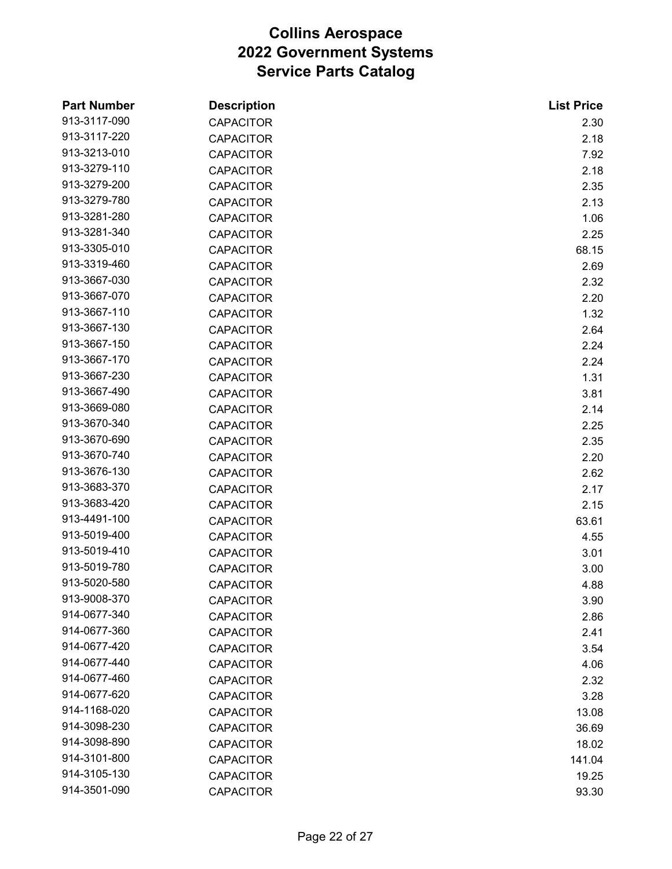| <b>Part Number</b> | <b>Description</b> | <b>List Price</b> |
|--------------------|--------------------|-------------------|
| 913-3117-090       | <b>CAPACITOR</b>   | 2.30              |
| 913-3117-220       | <b>CAPACITOR</b>   | 2.18              |
| 913-3213-010       | <b>CAPACITOR</b>   | 7.92              |
| 913-3279-110       | <b>CAPACITOR</b>   | 2.18              |
| 913-3279-200       | <b>CAPACITOR</b>   | 2.35              |
| 913-3279-780       | <b>CAPACITOR</b>   | 2.13              |
| 913-3281-280       | <b>CAPACITOR</b>   | 1.06              |
| 913-3281-340       | <b>CAPACITOR</b>   | 2.25              |
| 913-3305-010       | <b>CAPACITOR</b>   | 68.15             |
| 913-3319-460       | <b>CAPACITOR</b>   | 2.69              |
| 913-3667-030       | <b>CAPACITOR</b>   | 2.32              |
| 913-3667-070       | <b>CAPACITOR</b>   | 2.20              |
| 913-3667-110       | <b>CAPACITOR</b>   | 1.32              |
| 913-3667-130       | <b>CAPACITOR</b>   | 2.64              |
| 913-3667-150       | <b>CAPACITOR</b>   | 2.24              |
| 913-3667-170       | <b>CAPACITOR</b>   | 2.24              |
| 913-3667-230       | <b>CAPACITOR</b>   | 1.31              |
| 913-3667-490       | <b>CAPACITOR</b>   | 3.81              |
| 913-3669-080       | <b>CAPACITOR</b>   | 2.14              |
| 913-3670-340       | <b>CAPACITOR</b>   | 2.25              |
| 913-3670-690       | <b>CAPACITOR</b>   | 2.35              |
| 913-3670-740       | <b>CAPACITOR</b>   | 2.20              |
| 913-3676-130       | <b>CAPACITOR</b>   | 2.62              |
| 913-3683-370       | <b>CAPACITOR</b>   | 2.17              |
| 913-3683-420       | <b>CAPACITOR</b>   | 2.15              |
| 913-4491-100       | <b>CAPACITOR</b>   | 63.61             |
| 913-5019-400       | <b>CAPACITOR</b>   | 4.55              |
| 913-5019-410       | <b>CAPACITOR</b>   | 3.01              |
| 913-5019-780       | <b>CAPACITOR</b>   | 3.00              |
| 913-5020-580       | <b>CAPACITOR</b>   | 4.88              |
| 913-9008-370       | <b>CAPACITOR</b>   | 3.90              |
| 914-0677-340       | <b>CAPACITOR</b>   | 2.86              |
| 914-0677-360       | <b>CAPACITOR</b>   | 2.41              |
| 914-0677-420       | <b>CAPACITOR</b>   | 3.54              |
| 914-0677-440       | <b>CAPACITOR</b>   | 4.06              |
| 914-0677-460       | <b>CAPACITOR</b>   | 2.32              |
| 914-0677-620       | <b>CAPACITOR</b>   | 3.28              |
| 914-1168-020       | <b>CAPACITOR</b>   | 13.08             |
| 914-3098-230       | <b>CAPACITOR</b>   | 36.69             |
| 914-3098-890       | <b>CAPACITOR</b>   | 18.02             |
| 914-3101-800       | <b>CAPACITOR</b>   | 141.04            |
| 914-3105-130       | <b>CAPACITOR</b>   | 19.25             |
| 914-3501-090       | <b>CAPACITOR</b>   | 93.30             |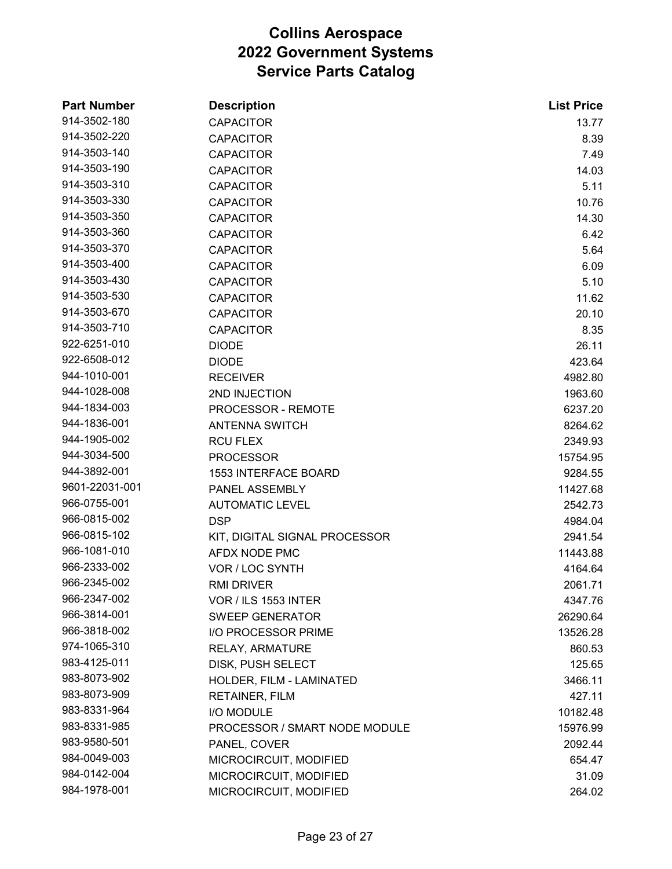| <b>Part Number</b> | <b>Description</b>            | <b>List Price</b> |
|--------------------|-------------------------------|-------------------|
| 914-3502-180       | <b>CAPACITOR</b>              | 13.77             |
| 914-3502-220       | <b>CAPACITOR</b>              | 8.39              |
| 914-3503-140       | <b>CAPACITOR</b>              | 7.49              |
| 914-3503-190       | <b>CAPACITOR</b>              | 14.03             |
| 914-3503-310       | <b>CAPACITOR</b>              | 5.11              |
| 914-3503-330       | <b>CAPACITOR</b>              | 10.76             |
| 914-3503-350       | <b>CAPACITOR</b>              | 14.30             |
| 914-3503-360       | <b>CAPACITOR</b>              | 6.42              |
| 914-3503-370       | <b>CAPACITOR</b>              | 5.64              |
| 914-3503-400       | <b>CAPACITOR</b>              | 6.09              |
| 914-3503-430       | <b>CAPACITOR</b>              | 5.10              |
| 914-3503-530       | <b>CAPACITOR</b>              | 11.62             |
| 914-3503-670       | <b>CAPACITOR</b>              | 20.10             |
| 914-3503-710       | <b>CAPACITOR</b>              | 8.35              |
| 922-6251-010       | <b>DIODE</b>                  | 26.11             |
| 922-6508-012       | <b>DIODE</b>                  | 423.64            |
| 944-1010-001       | <b>RECEIVER</b>               | 4982.80           |
| 944-1028-008       | 2ND INJECTION                 | 1963.60           |
| 944-1834-003       | <b>PROCESSOR - REMOTE</b>     | 6237.20           |
| 944-1836-001       | <b>ANTENNA SWITCH</b>         | 8264.62           |
| 944-1905-002       | <b>RCU FLEX</b>               | 2349.93           |
| 944-3034-500       | <b>PROCESSOR</b>              | 15754.95          |
| 944-3892-001       | <b>1553 INTERFACE BOARD</b>   | 9284.55           |
| 9601-22031-001     | PANEL ASSEMBLY                | 11427.68          |
| 966-0755-001       | <b>AUTOMATIC LEVEL</b>        | 2542.73           |
| 966-0815-002       | <b>DSP</b>                    | 4984.04           |
| 966-0815-102       | KIT, DIGITAL SIGNAL PROCESSOR | 2941.54           |
| 966-1081-010       | AFDX NODE PMC                 | 11443.88          |
| 966-2333-002       | VOR / LOC SYNTH               | 4164.64           |
| 966-2345-002       | <b>RMI DRIVER</b>             | 2061.71           |
| 966-2347-002       | VOR / ILS 1553 INTER          | 4347.76           |
| 966-3814-001       | <b>SWEEP GENERATOR</b>        | 26290.64          |
| 966-3818-002       | I/O PROCESSOR PRIME           | 13526.28          |
| 974-1065-310       | RELAY, ARMATURE               | 860.53            |
| 983-4125-011       | DISK, PUSH SELECT             | 125.65            |
| 983-8073-902       | HOLDER, FILM - LAMINATED      | 3466.11           |
| 983-8073-909       | <b>RETAINER, FILM</b>         | 427.11            |
| 983-8331-964       | I/O MODULE                    | 10182.48          |
| 983-8331-985       | PROCESSOR / SMART NODE MODULE | 15976.99          |
| 983-9580-501       | PANEL, COVER                  | 2092.44           |
| 984-0049-003       | MICROCIRCUIT, MODIFIED        | 654.47            |
| 984-0142-004       | MICROCIRCUIT, MODIFIED        | 31.09             |
| 984-1978-001       | MICROCIRCUIT, MODIFIED        | 264.02            |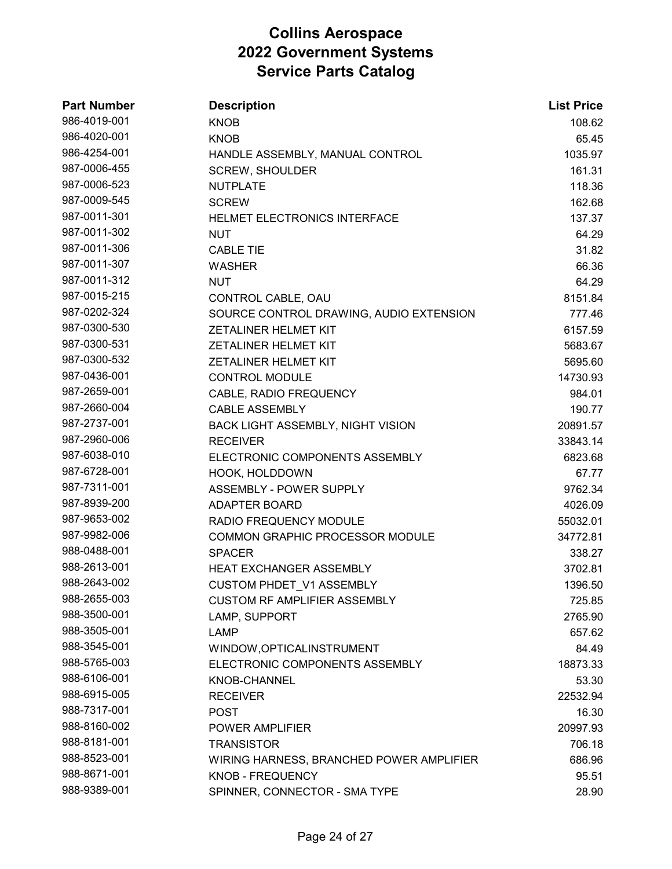| <b>Part Number</b> | <b>Description</b>                       | <b>List Price</b> |
|--------------------|------------------------------------------|-------------------|
| 986-4019-001       | <b>KNOB</b>                              | 108.62            |
| 986-4020-001       | <b>KNOB</b>                              | 65.45             |
| 986-4254-001       | HANDLE ASSEMBLY, MANUAL CONTROL          | 1035.97           |
| 987-0006-455       | <b>SCREW, SHOULDER</b>                   | 161.31            |
| 987-0006-523       | <b>NUTPLATE</b>                          | 118.36            |
| 987-0009-545       | <b>SCREW</b>                             | 162.68            |
| 987-0011-301       | HELMET ELECTRONICS INTERFACE             | 137.37            |
| 987-0011-302       | <b>NUT</b>                               | 64.29             |
| 987-0011-306       | <b>CABLE TIE</b>                         | 31.82             |
| 987-0011-307       | <b>WASHER</b>                            | 66.36             |
| 987-0011-312       | <b>NUT</b>                               | 64.29             |
| 987-0015-215       | CONTROL CABLE, OAU                       | 8151.84           |
| 987-0202-324       | SOURCE CONTROL DRAWING, AUDIO EXTENSION  | 777.46            |
| 987-0300-530       | <b>ZETALINER HELMET KIT</b>              | 6157.59           |
| 987-0300-531       | <b>ZETALINER HELMET KIT</b>              | 5683.67           |
| 987-0300-532       | ZETALINER HELMET KIT                     | 5695.60           |
| 987-0436-001       | <b>CONTROL MODULE</b>                    | 14730.93          |
| 987-2659-001       | CABLE, RADIO FREQUENCY                   | 984.01            |
| 987-2660-004       | <b>CABLE ASSEMBLY</b>                    | 190.77            |
| 987-2737-001       | BACK LIGHT ASSEMBLY, NIGHT VISION        | 20891.57          |
| 987-2960-006       | <b>RECEIVER</b>                          | 33843.14          |
| 987-6038-010       | ELECTRONIC COMPONENTS ASSEMBLY           | 6823.68           |
| 987-6728-001       | HOOK, HOLDDOWN                           | 67.77             |
| 987-7311-001       | ASSEMBLY - POWER SUPPLY                  | 9762.34           |
| 987-8939-200       | <b>ADAPTER BOARD</b>                     | 4026.09           |
| 987-9653-002       | RADIO FREQUENCY MODULE                   | 55032.01          |
| 987-9982-006       | <b>COMMON GRAPHIC PROCESSOR MODULE</b>   | 34772.81          |
| 988-0488-001       | <b>SPACER</b>                            | 338.27            |
| 988-2613-001       | <b>HEAT EXCHANGER ASSEMBLY</b>           | 3702.81           |
| 988-2643-002       | <b>CUSTOM PHDET V1 ASSEMBLY</b>          | 1396.50           |
| 988-2655-003       | <b>CUSTOM RF AMPLIFIER ASSEMBLY</b>      | 725.85            |
| 988-3500-001       | LAMP, SUPPORT                            | 2765.90           |
| 988-3505-001       | <b>LAMP</b>                              | 657.62            |
| 988-3545-001       | WINDOW, OPTICALINSTRUMENT                | 84.49             |
| 988-5765-003       | ELECTRONIC COMPONENTS ASSEMBLY           | 18873.33          |
| 988-6106-001       | KNOB-CHANNEL                             | 53.30             |
| 988-6915-005       | <b>RECEIVER</b>                          | 22532.94          |
| 988-7317-001       | <b>POST</b>                              | 16.30             |
| 988-8160-002       | <b>POWER AMPLIFIER</b>                   | 20997.93          |
| 988-8181-001       | <b>TRANSISTOR</b>                        | 706.18            |
| 988-8523-001       | WIRING HARNESS, BRANCHED POWER AMPLIFIER | 686.96            |
| 988-8671-001       | <b>KNOB - FREQUENCY</b>                  | 95.51             |
| 988-9389-001       | SPINNER, CONNECTOR - SMA TYPE            | 28.90             |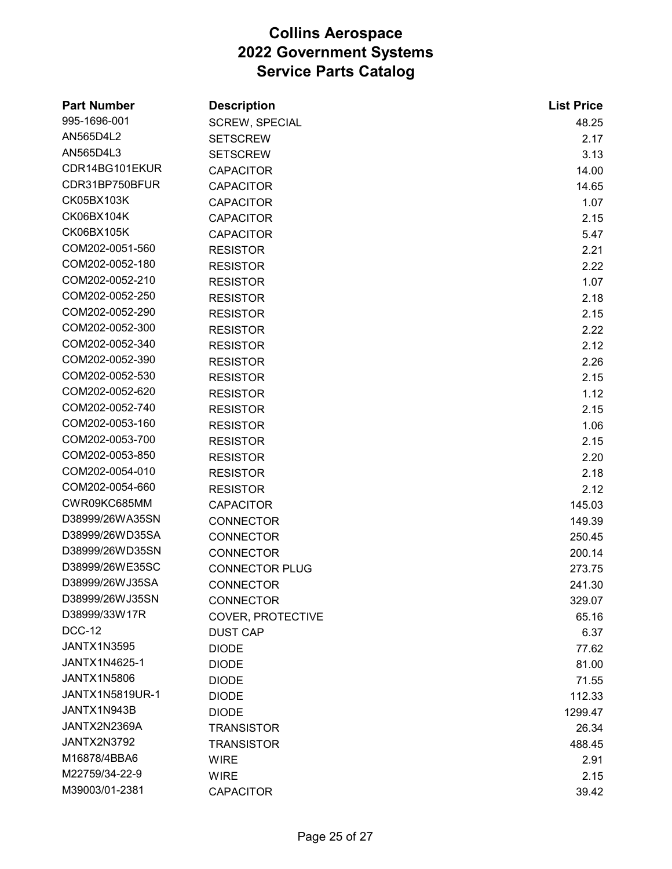| <b>Part Number</b>     | <b>Description</b>    | <b>List Price</b> |
|------------------------|-----------------------|-------------------|
| 995-1696-001           | SCREW, SPECIAL        | 48.25             |
| AN565D4L2              | <b>SETSCREW</b>       | 2.17              |
| AN565D4L3              | <b>SETSCREW</b>       | 3.13              |
| CDR14BG101EKUR         | <b>CAPACITOR</b>      | 14.00             |
| CDR31BP750BFUR         | <b>CAPACITOR</b>      | 14.65             |
| CK05BX103K             | <b>CAPACITOR</b>      | 1.07              |
| CK06BX104K             | <b>CAPACITOR</b>      | 2.15              |
| <b>CK06BX105K</b>      | <b>CAPACITOR</b>      | 5.47              |
| COM202-0051-560        | <b>RESISTOR</b>       | 2.21              |
| COM202-0052-180        | <b>RESISTOR</b>       | 2.22              |
| COM202-0052-210        | <b>RESISTOR</b>       | 1.07              |
| COM202-0052-250        | <b>RESISTOR</b>       | 2.18              |
| COM202-0052-290        | <b>RESISTOR</b>       | 2.15              |
| COM202-0052-300        | <b>RESISTOR</b>       | 2.22              |
| COM202-0052-340        | <b>RESISTOR</b>       | 2.12              |
| COM202-0052-390        | <b>RESISTOR</b>       | 2.26              |
| COM202-0052-530        | <b>RESISTOR</b>       | 2.15              |
| COM202-0052-620        | <b>RESISTOR</b>       | 1.12              |
| COM202-0052-740        | <b>RESISTOR</b>       | 2.15              |
| COM202-0053-160        | <b>RESISTOR</b>       | 1.06              |
| COM202-0053-700        | <b>RESISTOR</b>       | 2.15              |
| COM202-0053-850        | <b>RESISTOR</b>       | 2.20              |
| COM202-0054-010        | <b>RESISTOR</b>       | 2.18              |
| COM202-0054-660        | <b>RESISTOR</b>       | 2.12              |
| CWR09KC685MM           | <b>CAPACITOR</b>      | 145.03            |
| D38999/26WA35SN        | <b>CONNECTOR</b>      | 149.39            |
| D38999/26WD35SA        | <b>CONNECTOR</b>      | 250.45            |
| D38999/26WD35SN        | <b>CONNECTOR</b>      | 200.14            |
| D38999/26WE35SC        | <b>CONNECTOR PLUG</b> | 273.75            |
| D38999/26WJ35SA        | CONNECTOR             | 241.30            |
| D38999/26WJ35SN        | <b>CONNECTOR</b>      | 329.07            |
| D38999/33W17R          | COVER, PROTECTIVE     | 65.16             |
| <b>DCC-12</b>          | <b>DUST CAP</b>       | 6.37              |
| <b>JANTX1N3595</b>     | <b>DIODE</b>          | 77.62             |
| JANTX1N4625-1          | <b>DIODE</b>          | 81.00             |
| <b>JANTX1N5806</b>     | <b>DIODE</b>          | 71.55             |
| <b>JANTX1N5819UR-1</b> | <b>DIODE</b>          | 112.33            |
| JANTX1N943B            | <b>DIODE</b>          | 1299.47           |
| JANTX2N2369A           | <b>TRANSISTOR</b>     | 26.34             |
| JANTX2N3792            | <b>TRANSISTOR</b>     | 488.45            |
| M16878/4BBA6           | <b>WIRE</b>           | 2.91              |
| M22759/34-22-9         | <b>WIRE</b>           | 2.15              |
| M39003/01-2381         | <b>CAPACITOR</b>      | 39.42             |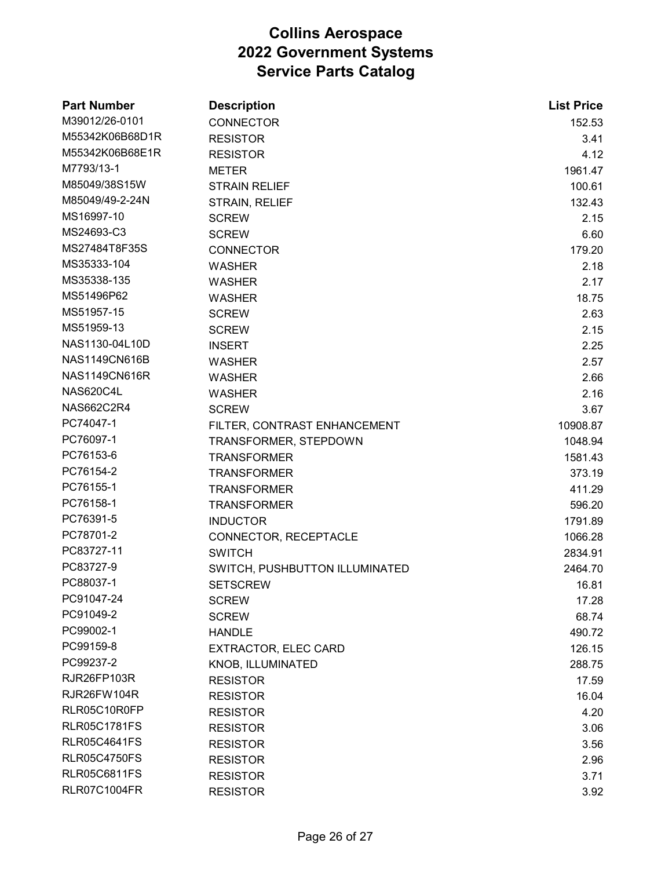| <b>Part Number</b>  | <b>Description</b>             | <b>List Price</b> |
|---------------------|--------------------------------|-------------------|
| M39012/26-0101      | <b>CONNECTOR</b>               | 152.53            |
| M55342K06B68D1R     | <b>RESISTOR</b>                | 3.41              |
| M55342K06B68E1R     | <b>RESISTOR</b>                | 4.12              |
| M7793/13-1          | <b>METER</b>                   | 1961.47           |
| M85049/38S15W       | <b>STRAIN RELIEF</b>           | 100.61            |
| M85049/49-2-24N     | STRAIN, RELIEF                 | 132.43            |
| MS16997-10          | <b>SCREW</b>                   | 2.15              |
| MS24693-C3          | <b>SCREW</b>                   | 6.60              |
| MS27484T8F35S       | <b>CONNECTOR</b>               | 179.20            |
| MS35333-104         | <b>WASHER</b>                  | 2.18              |
| MS35338-135         | <b>WASHER</b>                  | 2.17              |
| MS51496P62          | <b>WASHER</b>                  | 18.75             |
| MS51957-15          | <b>SCREW</b>                   | 2.63              |
| MS51959-13          | <b>SCREW</b>                   | 2.15              |
| NAS1130-04L10D      | <b>INSERT</b>                  | 2.25              |
| NAS1149CN616B       | <b>WASHER</b>                  | 2.57              |
| NAS1149CN616R       | <b>WASHER</b>                  | 2.66              |
| NAS620C4L           | <b>WASHER</b>                  | 2.16              |
| <b>NAS662C2R4</b>   | <b>SCREW</b>                   | 3.67              |
| PC74047-1           | FILTER, CONTRAST ENHANCEMENT   | 10908.87          |
| PC76097-1           | TRANSFORMER, STEPDOWN          | 1048.94           |
| PC76153-6           | <b>TRANSFORMER</b>             | 1581.43           |
| PC76154-2           | <b>TRANSFORMER</b>             | 373.19            |
| PC76155-1           | <b>TRANSFORMER</b>             | 411.29            |
| PC76158-1           | <b>TRANSFORMER</b>             | 596.20            |
| PC76391-5           | <b>INDUCTOR</b>                | 1791.89           |
| PC78701-2           | CONNECTOR, RECEPTACLE          | 1066.28           |
| PC83727-11          | <b>SWITCH</b>                  | 2834.91           |
| PC83727-9           | SWITCH, PUSHBUTTON ILLUMINATED | 2464.70           |
| PC88037-1           | <b>SETSCREW</b>                | 16.81             |
| PC91047-24          | <b>SCREW</b>                   | 17.28             |
| PC91049-2           | <b>SCREW</b>                   | 68.74             |
| PC99002-1           | <b>HANDLE</b>                  | 490.72            |
| PC99159-8           | <b>EXTRACTOR, ELEC CARD</b>    | 126.15            |
| PC99237-2           | KNOB, ILLUMINATED              | 288.75            |
| RJR26FP103R         | <b>RESISTOR</b>                | 17.59             |
| <b>RJR26FW104R</b>  | <b>RESISTOR</b>                | 16.04             |
| RLR05C10R0FP        | <b>RESISTOR</b>                | 4.20              |
| <b>RLR05C1781FS</b> | <b>RESISTOR</b>                | 3.06              |
| <b>RLR05C4641FS</b> | <b>RESISTOR</b>                | 3.56              |
| <b>RLR05C4750FS</b> | <b>RESISTOR</b>                | 2.96              |
| <b>RLR05C6811FS</b> | <b>RESISTOR</b>                | 3.71              |
| <b>RLR07C1004FR</b> | <b>RESISTOR</b>                | 3.92              |